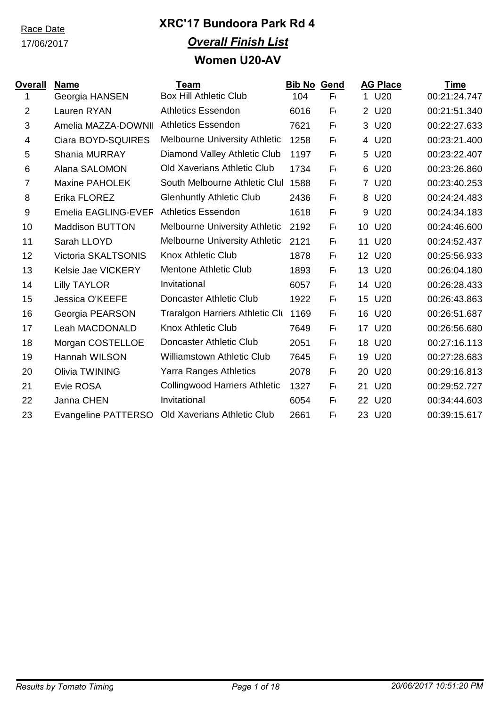17/06/2017

### **XRC'17 Bundoora Park Rd 4** *Overall Finish List* **Women U20-AV**

| Overall        | <b>Name</b>            | Team                                   | <b>Bib No Gend</b> |         |    | <b>AG Place</b> | <b>Time</b>  |
|----------------|------------------------|----------------------------------------|--------------------|---------|----|-----------------|--------------|
| 1              | Georgia HANSEN         | <b>Box Hill Athletic Club</b>          | 104                | $F_{1}$ |    | 1 U20           | 00:21:24.747 |
| $\overline{2}$ | Lauren RYAN            | <b>Athletics Essendon</b>              | 6016               | $F_{1}$ |    | 2 U20           | 00:21:51.340 |
| 3              | Amelia MAZZA-DOWNII    | <b>Athletics Essendon</b>              | 7621               | $F_{1}$ | 3  | U20             | 00:22:27.633 |
| 4              | Ciara BOYD-SQUIRES     | <b>Melbourne University Athletic</b>   | 1258               | $F_{1}$ |    | 4 U20           | 00:23:21.400 |
| 5              | Shania MURRAY          | Diamond Valley Athletic Club           | 1197               | $F_{1}$ | 5  | U20             | 00:23:22.407 |
| 6              | Alana SALOMON          | <b>Old Xaverians Athletic Club</b>     | 1734               | $F_{1}$ | 6  | U <sub>20</sub> | 00:23:26.860 |
| $\overline{7}$ | <b>Maxine PAHOLEK</b>  | South Melbourne Athletic Clul          | 1588               | $F_{1}$ |    | 7 U20           | 00:23:40.253 |
| 8              | Erika FLOREZ           | <b>Glenhuntly Athletic Club</b>        | 2436               | $F_{1}$ | 8  | U20             | 00:24:24.483 |
| 9              | Emelia EAGLING-EVER    | <b>Athletics Essendon</b>              | 1618               | $F_{1}$ | 9  | U20             | 00:24:34.183 |
| 10             | <b>Maddison BUTTON</b> | Melbourne University Athletic          | 2192               | $F_{1}$ | 10 | U20             | 00:24:46.600 |
| 11             | Sarah LLOYD            | <b>Melbourne University Athletic</b>   | 2121               | $F_{1}$ | 11 | U20             | 00:24:52.437 |
| 12             | Victoria SKALTSONIS    | <b>Knox Athletic Club</b>              | 1878               | $F_{1}$ | 12 | U20             | 00:25:56.933 |
| 13             | Kelsie Jae VICKERY     | <b>Mentone Athletic Club</b>           | 1893               | $F_{1}$ | 13 | U20             | 00:26:04.180 |
| 14             | <b>Lilly TAYLOR</b>    | Invitational                           | 6057               | $F_{1}$ | 14 | U <sub>20</sub> | 00:26:28.433 |
| 15             | <b>Jessica O'KEEFE</b> | Doncaster Athletic Club                | 1922               | $F_{1}$ | 15 | U20             | 00:26:43.863 |
| 16             | Georgia PEARSON        | <b>Traralgon Harriers Athletic Clu</b> | 1169               | $F_{1}$ | 16 | U20             | 00:26:51.687 |
| 17             | Leah MACDONALD         | <b>Knox Athletic Club</b>              | 7649               | $F_{1}$ |    | 17 U20          | 00:26:56.680 |
| 18             | Morgan COSTELLOE       | Doncaster Athletic Club                | 2051               | $F_{1}$ |    | 18 U20          | 00:27:16.113 |
| 19             | Hannah WILSON          | <b>Williamstown Athletic Club</b>      | 7645               | $F_{1}$ | 19 | U20             | 00:27:28.683 |
| 20             | Olivia TWINING         | <b>Yarra Ranges Athletics</b>          | 2078               | F١      | 20 | U20             | 00:29:16.813 |
| 21             | Evie ROSA              | <b>Collingwood Harriers Athletic</b>   | 1327               | $F_{1}$ | 21 | U20             | 00:29:52.727 |
| 22             | Janna CHEN             | Invitational                           | 6054               | $F_{1}$ | 22 | U20             | 00:34:44.603 |
| 23             | Evangeline PATTERSO    | <b>Old Xaverians Athletic Club</b>     | 2661               | $F_{1}$ | 23 | U <sub>20</sub> | 00:39:15.617 |
|                |                        |                                        |                    |         |    |                 |              |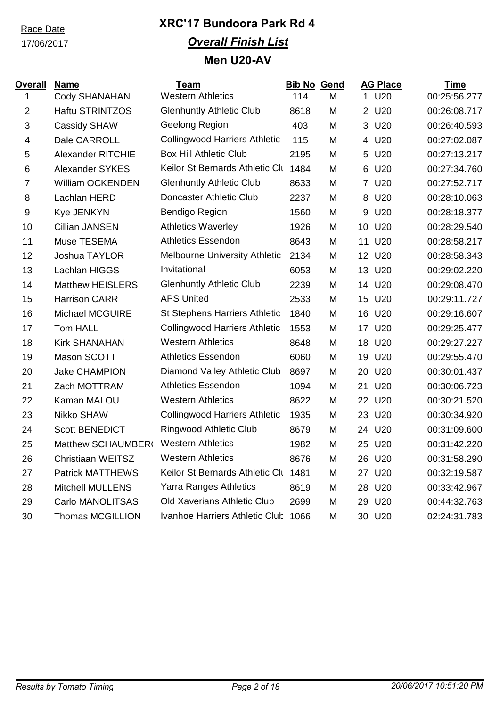17/06/2017

### **XRC'17 Bundoora Park Rd 4** *Overall Finish List* **Men U20-AV**

| <u>Overall</u> | <b>Name</b>              | <b>Team</b>                          | <b>Bib No Gend</b> |   |              | <b>AG Place</b> | <b>Time</b>  |
|----------------|--------------------------|--------------------------------------|--------------------|---|--------------|-----------------|--------------|
| 1              | <b>Cody SHANAHAN</b>     | <b>Western Athletics</b>             | 114                | M | 1            | U20             | 00:25:56.277 |
| $\overline{2}$ | Haftu STRINTZOS          | <b>Glenhuntly Athletic Club</b>      | 8618               | M | $\mathbf{2}$ | U20             | 00:26:08.717 |
| 3              | <b>Cassidy SHAW</b>      | Geelong Region                       | 403                | M | 3            | U20             | 00:26:40.593 |
| 4              | Dale CARROLL             | <b>Collingwood Harriers Athletic</b> | 115                | M |              | 4 U20           | 00:27:02.087 |
| 5              | <b>Alexander RITCHIE</b> | <b>Box Hill Athletic Club</b>        | 2195               | M |              | 5 U20           | 00:27:13.217 |
| 6              | <b>Alexander SYKES</b>   | Keilor St Bernards Athletic Clu      | 1484               | M |              | 6 U20           | 00:27:34.760 |
| $\overline{7}$ | <b>William OCKENDEN</b>  | <b>Glenhuntly Athletic Club</b>      | 8633               | M |              | 7 U20           | 00:27:52.717 |
| 8              | Lachlan HERD             | Doncaster Athletic Club              | 2237               | M | 8            | U <sub>20</sub> | 00:28:10.063 |
| 9              | Kye JENKYN               | Bendigo Region                       | 1560               | M | 9            | U20             | 00:28:18.377 |
| 10             | <b>Cillian JANSEN</b>    | <b>Athletics Waverley</b>            | 1926               | M | 10           | U20             | 00:28:29.540 |
| 11             | Muse TESEMA              | <b>Athletics Essendon</b>            | 8643               | M | 11           | U20             | 00:28:58.217 |
| 12             | Joshua TAYLOR            | <b>Melbourne University Athletic</b> | 2134               | M |              | 12 U20          | 00:28:58.343 |
| 13             | Lachlan HIGGS            | Invitational                         | 6053               | M |              | 13 U20          | 00:29:02.220 |
| 14             | <b>Matthew HEISLERS</b>  | <b>Glenhuntly Athletic Club</b>      | 2239               | M |              | 14 U20          | 00:29:08.470 |
| 15             | <b>Harrison CARR</b>     | <b>APS United</b>                    | 2533               | M | 15           | U20             | 00:29:11.727 |
| 16             | <b>Michael MCGUIRE</b>   | <b>St Stephens Harriers Athletic</b> | 1840               | M | 16           | U20             | 00:29:16.607 |
| 17             | <b>Tom HALL</b>          | <b>Collingwood Harriers Athletic</b> | 1553               | M | 17           | U20             | 00:29:25.477 |
| 18             | <b>Kirk SHANAHAN</b>     | <b>Western Athletics</b>             | 8648               | M | 18           | U20             | 00:29:27.227 |
| 19             | Mason SCOTT              | <b>Athletics Essendon</b>            | 6060               | M | 19           | U20             | 00:29:55.470 |
| 20             | <b>Jake CHAMPION</b>     | Diamond Valley Athletic Club         | 8697               | M | 20           | U20             | 00:30:01.437 |
| 21             | Zach MOTTRAM             | <b>Athletics Essendon</b>            | 1094               | M | 21           | U20             | 00:30:06.723 |
| 22             | Kaman MALOU              | <b>Western Athletics</b>             | 8622               | M |              | 22 U20          | 00:30:21.520 |
| 23             | Nikko SHAW               | <b>Collingwood Harriers Athletic</b> | 1935               | M |              | 23 U20          | 00:30:34.920 |
| 24             | <b>Scott BENEDICT</b>    | Ringwood Athletic Club               | 8679               | M |              | 24 U20          | 00:31:09.600 |
| 25             | Matthew SCHAUMBER(       | <b>Western Athletics</b>             | 1982               | M |              | 25 U20          | 00:31:42.220 |
| 26             | <b>Christiaan WEITSZ</b> | <b>Western Athletics</b>             | 8676               | M |              | 26 U20          | 00:31:58.290 |
| 27             | <b>Patrick MATTHEWS</b>  | Keilor St Bernards Athletic Clu      | 1481               | M |              | 27 U20          | 00:32:19.587 |
| 28             | <b>Mitchell MULLENS</b>  | <b>Yarra Ranges Athletics</b>        | 8619               | M |              | 28 U20          | 00:33:42.967 |
| 29             | Carlo MANOLITSAS         | <b>Old Xaverians Athletic Club</b>   | 2699               | M |              | 29 U20          | 00:44:32.763 |
| 30             | <b>Thomas MCGILLION</b>  | Ivanhoe Harriers Athletic Club       | 1066               | M |              | 30 U20          | 02:24:31.783 |
|                |                          |                                      |                    |   |              |                 |              |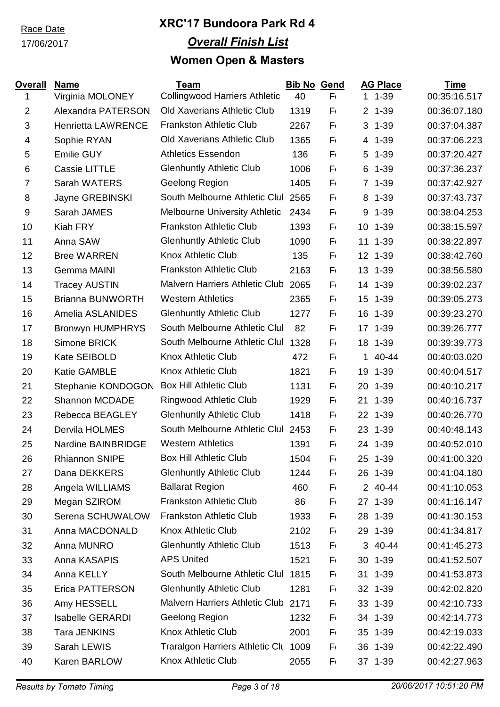### 17/06/2017

| <b>Overall</b><br>1 | <b>Name</b>                                   | <b>Team</b><br><b>Collingwood Harriers Athletic</b> | <b>Bib No</b><br>40 | <b>Gend</b><br>$F_{1}$ |                | <b>AG Place</b><br>$11 - 39$ | <b>Time</b><br>00:35:16.517 |
|---------------------|-----------------------------------------------|-----------------------------------------------------|---------------------|------------------------|----------------|------------------------------|-----------------------------|
| $\overline{2}$      | Virginia MOLONEY<br><b>Alexandra PATERSON</b> | <b>Old Xaverians Athletic Club</b>                  | 1319                | $F_{1}$                |                | $2, 1-39$                    | 00:36:07.180                |
|                     |                                               | <b>Frankston Athletic Club</b>                      |                     |                        |                |                              |                             |
| 3                   | <b>Henrietta LAWRENCE</b>                     |                                                     | 2267                | $F_{1}$                |                | $3 - 1 - 39$                 | 00:37:04.387                |
| 4                   | Sophie RYAN                                   | Old Xaverians Athletic Club                         | 1365                | F٠                     |                | 4 1-39                       | 00:37:06.223                |
| 5                   | Emilie GUY                                    | <b>Athletics Essendon</b>                           | 136                 | $F_{1}$                | 5              | $1 - 39$                     | 00:37:20.427                |
| 6                   | Cassie LITTLE                                 | <b>Glenhuntly Athletic Club</b>                     | 1006                | $F_{1}$                | 6 <sup>1</sup> | $1 - 39$                     | 00:37:36.237                |
| $\overline{7}$      | Sarah WATERS                                  | Geelong Region                                      | 1405                | $F_{1}$                | $\overline{7}$ | $1 - 39$                     | 00:37:42.927                |
| 8                   | Jayne GREBINSKI                               | South Melbourne Athletic Clul                       | 2565                | F١                     |                | 8 1-39                       | 00:37:43.737                |
| $9\,$               | Sarah JAMES                                   | <b>Melbourne University Athletic</b>                | 2434                | $F_{1}$                | 9              | $1 - 39$                     | 00:38:04.253                |
| 10                  | Kiah FRY                                      | <b>Frankston Athletic Club</b>                      | 1393                | $F_{1}$                |                | 10 1-39                      | 00:38:15.597                |
| 11                  | Anna SAW                                      | <b>Glenhuntly Athletic Club</b>                     | 1090                | $F_{1}$                | 11             | $1 - 39$                     | 00:38:22.897                |
| 12                  | <b>Bree WARREN</b>                            | <b>Knox Athletic Club</b>                           | 135                 | $F_{1}$                |                | 12 1-39                      | 00:38:42.760                |
| 13                  | <b>Gemma MAINI</b>                            | <b>Frankston Athletic Club</b>                      | 2163                | $F_{1}$                |                | 13 1-39                      | 00:38:56.580                |
| 14                  | <b>Tracey AUSTIN</b>                          | Malvern Harriers Athletic Club                      | 2065                | $F_{1}$                | 14             | $1 - 39$                     | 00:39:02.237                |
| 15                  | <b>Brianna BUNWORTH</b>                       | <b>Western Athletics</b>                            | 2365                | F١                     | 15             | $1 - 39$                     | 00:39:05.273                |
| 16                  | Amelia ASLANIDES                              | <b>Glenhuntly Athletic Club</b>                     | 1277                | F١                     | 16             | $1 - 39$                     | 00:39:23.270                |
| 17                  | <b>Bronwyn HUMPHRYS</b>                       | South Melbourne Athletic Clul                       | 82                  | $F_{1}$                |                | 17 1-39                      | 00:39:26.777                |
| 18                  | Simone BRICK                                  | South Melbourne Athletic Clul                       | 1328                | $F_{1}$                |                | 18 1-39                      | 00:39:39.773                |
| 19                  | Kate SEIBOLD                                  | <b>Knox Athletic Club</b>                           | 472                 | $F_{1}$                | $\mathbf 1$    | 40-44                        | 00:40:03.020                |
| 20                  | <b>Katie GAMBLE</b>                           | <b>Knox Athletic Club</b>                           | 1821                | $F_{1}$                |                | 19 1-39                      | 00:40:04.517                |
| 21                  | Stephanie KONDOGON                            | <b>Box Hill Athletic Club</b>                       | 1131                | $F_{1}$                | 20             | $1 - 39$                     | 00:40:10.217                |
| 22                  | <b>Shannon MCDADE</b>                         | Ringwood Athletic Club                              | 1929                | F١                     | 21             | $1 - 39$                     | 00:40:16.737                |
| 23                  | Rebecca BEAGLEY                               | <b>Glenhuntly Athletic Club</b>                     | 1418                | F١                     |                | 22 1-39                      | 00:40:26.770                |
| 24                  | Dervila HOLMES                                | South Melbourne Athletic Clul                       | 2453                | F١                     |                | 23 1-39                      | 00:40:48.143                |
| 25                  | Nardine BAINBRIDGE                            | <b>Western Athletics</b>                            | 1391                | $F_{1}$                |                | 24 1-39                      | 00:40:52.010                |
| 26                  | <b>Rhiannon SNIPE</b>                         | <b>Box Hill Athletic Club</b>                       | 1504                | $F_{1}$                | 25             | $1 - 39$                     | 00:41:00.320                |
| 27                  | Dana DEKKERS                                  | <b>Glenhuntly Athletic Club</b>                     | 1244                | F١                     |                | 26 1-39                      | 00:41:04.180                |
| 28                  | Angela WILLIAMS                               | <b>Ballarat Region</b>                              | 460                 | F١                     |                | 2 40-44                      | 00:41:10.053                |
| 29                  | Megan SZIROM                                  | <b>Frankston Athletic Club</b>                      | 86                  | $F_{1}$                |                | 27 1-39                      | 00:41:16.147                |
| 30                  | Serena SCHUWALOW                              | <b>Frankston Athletic Club</b>                      | 1933                | F١                     |                | 28 1-39                      | 00:41:30.153                |
| 31                  | Anna MACDONALD                                | <b>Knox Athletic Club</b>                           | 2102                | Fι                     |                | 29 1-39                      | 00:41:34.817                |
| 32                  | Anna MUNRO                                    | <b>Glenhuntly Athletic Club</b>                     | 1513                | Fυ                     |                | 3 40-44                      | 00:41:45.273                |
| 33                  | Anna KASAPIS                                  | <b>APS United</b>                                   | 1521                | F١                     |                | 30 1-39                      | 00:41:52.507                |
| 34                  | Anna KELLY                                    | South Melbourne Athletic Clul                       | 1815                | F١                     |                | 31 1-39                      | 00:41:53.873                |
| 35                  | Erica PATTERSON                               | <b>Glenhuntly Athletic Club</b>                     | 1281                | F١                     |                | 32 1-39                      | 00:42:02.820                |
| 36                  | Amy HESSELL                                   | Malvern Harriers Athletic Club                      | 2171                | F١                     |                | 33 1-39                      | 00:42:10.733                |
| 37                  | <b>Isabelle GERARDI</b>                       | Geelong Region                                      | 1232                | F١                     |                | 34 1-39                      | 00:42:14.773                |
| 38                  | <b>Tara JENKINS</b>                           | <b>Knox Athletic Club</b>                           | 2001                | F١                     |                | 35 1-39                      | 00:42:19.033                |
| 39                  | Sarah LEWIS                                   | <b>Traralgon Harriers Athletic Clu</b>              | 1009                | F١                     |                | 36 1-39                      | 00:42:22.490                |
| 40                  | Karen BARLOW                                  | Knox Athletic Club                                  | 2055                | F١                     |                | 37 1-39                      | 00:42:27.963                |
|                     |                                               |                                                     |                     |                        |                |                              |                             |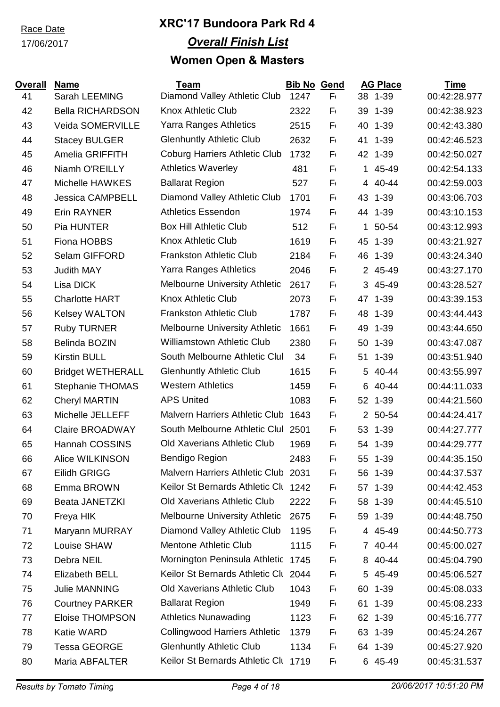#### 17/06/2017

| <b>Overall</b> | <b>Name</b>              | <b>Team</b>                           | <b>Bib No Gend</b> |         |             | <b>AG Place</b> | <b>Time</b>  |
|----------------|--------------------------|---------------------------------------|--------------------|---------|-------------|-----------------|--------------|
| 41             | Sarah LEEMING            | Diamond Valley Athletic Club          | 1247               | $F_{1}$ |             | 38 1-39         | 00:42:28.977 |
| 42             | <b>Bella RICHARDSON</b>  | <b>Knox Athletic Club</b>             | 2322               | $F_{1}$ | 39          | $1 - 39$        | 00:42:38.923 |
| 43             | Veida SOMERVILLE         | Yarra Ranges Athletics                | 2515               | F٢      | 40          | $1 - 39$        | 00:42:43.380 |
| 44             | <b>Stacey BULGER</b>     | <b>Glenhuntly Athletic Club</b>       | 2632               | $F_{1}$ | 41          | $1 - 39$        | 00:42:46.523 |
| 45             | Amelia GRIFFITH          | <b>Coburg Harriers Athletic Club</b>  | 1732               | $F_{1}$ |             | 42 1-39         | 00:42:50.027 |
| 46             | Niamh O'REILLY           | <b>Athletics Waverley</b>             | 481                | F٢      | $\mathbf 1$ | 45-49           | 00:42:54.133 |
| 47             | Michelle HAWKES          | <b>Ballarat Region</b>                | 527                | F١      |             | 4 40-44         | 00:42:59.003 |
| 48             | <b>Jessica CAMPBELL</b>  | Diamond Valley Athletic Club          | 1701               | F٢      | 43          | $1 - 39$        | 00:43:06.703 |
| 49             | <b>Erin RAYNER</b>       | <b>Athletics Essendon</b>             | 1974               | $F_{1}$ | 44          | $1 - 39$        | 00:43:10.153 |
| 50             | Pia HUNTER               | <b>Box Hill Athletic Club</b>         | 512                | $F_{1}$ |             | 1 50-54         | 00:43:12.993 |
| 51             | Fiona HOBBS              | <b>Knox Athletic Club</b>             | 1619               | $F_{1}$ | 45          | $1 - 39$        | 00:43:21.927 |
| 52             | Selam GIFFORD            | <b>Frankston Athletic Club</b>        | 2184               | $F_{1}$ |             | 46 1-39         | 00:43:24.340 |
| 53             | <b>Judith MAY</b>        | <b>Yarra Ranges Athletics</b>         | 2046               | $F_{1}$ |             | 2 45-49         | 00:43:27.170 |
| 54             | Lisa DICK                | <b>Melbourne University Athletic</b>  | 2617               | $F_{1}$ |             | 3 45-49         | 00:43:28.527 |
| 55             | <b>Charlotte HART</b>    | <b>Knox Athletic Club</b>             | 2073               | $F_{1}$ | 47          | $1 - 39$        | 00:43:39.153 |
| 56             | <b>Kelsey WALTON</b>     | <b>Frankston Athletic Club</b>        | 1787               | $F_{1}$ | 48          | $1 - 39$        | 00:43:44.443 |
| 57             | <b>Ruby TURNER</b>       | <b>Melbourne University Athletic</b>  | 1661               | F١      | 49          | $1 - 39$        | 00:43:44.650 |
| 58             | Belinda BOZIN            | <b>Williamstown Athletic Club</b>     | 2380               | $F_{1}$ | 50          | $1 - 39$        | 00:43:47.087 |
| 59             | <b>Kirstin BULL</b>      | South Melbourne Athletic Clul         | 34                 | $F_{1}$ |             | 51 1-39         | 00:43:51.940 |
| 60             | <b>Bridget WETHERALL</b> | <b>Glenhuntly Athletic Club</b>       | 1615               | $F_{1}$ |             | 5 40-44         | 00:43:55.997 |
| 61             | <b>Stephanie THOMAS</b>  | <b>Western Athletics</b>              | 1459               | $F_{1}$ |             | 6 40-44         | 00:44:11.033 |
| 62             | <b>Cheryl MARTIN</b>     | <b>APS United</b>                     | 1083               | $F_{1}$ |             | 52 1-39         | 00:44:21.560 |
| 63             | Michelle JELLEFF         | <b>Malvern Harriers Athletic Club</b> | 1643               | $F_{1}$ |             | 2 50-54         | 00:44:24.417 |
| 64             | <b>Claire BROADWAY</b>   | South Melbourne Athletic Clul         | 2501               | $F_{1}$ | 53          | $1 - 39$        | 00:44:27.777 |
| 65             | <b>Hannah COSSINS</b>    | <b>Old Xaverians Athletic Club</b>    | 1969               | $F_{1}$ | 54          | $1 - 39$        | 00:44:29.777 |
| 66             | <b>Alice WILKINSON</b>   | <b>Bendigo Region</b>                 | 2483               | $F_{1}$ |             | 55 1-39         | 00:44:35.150 |
| 67             | <b>Eilidh GRIGG</b>      | Malvern Harriers Athletic Club 2031   |                    | F١      |             | 56 1-39         | 00:44:37.537 |
| 68             | Emma BROWN               | Keilor St Bernards Athletic Clu 1242  |                    | F١      |             | 57 1-39         | 00:44:42.453 |
| 69             | <b>Beata JANETZKI</b>    | Old Xaverians Athletic Club           | 2222               | F١      |             | 58 1-39         | 00:44:45.510 |
| 70             | Freya HIK                | <b>Melbourne University Athletic</b>  | 2675               | F١      |             | 59 1-39         | 00:44:48.750 |
| 71             | Maryann MURRAY           | Diamond Valley Athletic Club          | 1195               | F١      |             | 4 45-49         | 00:44:50.773 |
| 72             | Louise SHAW              | <b>Mentone Athletic Club</b>          | 1115               | F١      |             | 7 40-44         | 00:45:00.027 |
| 73             | Debra NEIL               | Mornington Peninsula Athletic         | 1745               | F١      |             | 8 40-44         | 00:45:04.790 |
| 74             | <b>Elizabeth BELL</b>    | Keilor St Bernards Athletic Clu       | 2044               | F١      |             | 5 45-49         | 00:45:06.527 |
| 75             | <b>Julie MANNING</b>     | Old Xaverians Athletic Club           | 1043               | F١      | 60          | $1 - 39$        | 00:45:08.033 |
| 76             | <b>Courtney PARKER</b>   | <b>Ballarat Region</b>                | 1949               | F١      |             | 61 1-39         | 00:45:08.233 |
| 77             | <b>Eloise THOMPSON</b>   | <b>Athletics Nunawading</b>           | 1123               | F١      | 62          | $1 - 39$        | 00:45:16.777 |
| 78             | Katie WARD               | <b>Collingwood Harriers Athletic</b>  | 1379               | F١      |             | 63 1-39         | 00:45:24.267 |
| 79             | <b>Tessa GEORGE</b>      | <b>Glenhuntly Athletic Club</b>       | 1134               | F١      |             | 64 1-39         | 00:45:27.920 |
| 80             | Maria ABFALTER           | Keilor St Bernards Athletic Clu       | 1719               | F١      |             | 6 45-49         | 00:45:31.537 |
|                |                          |                                       |                    |         |             |                 |              |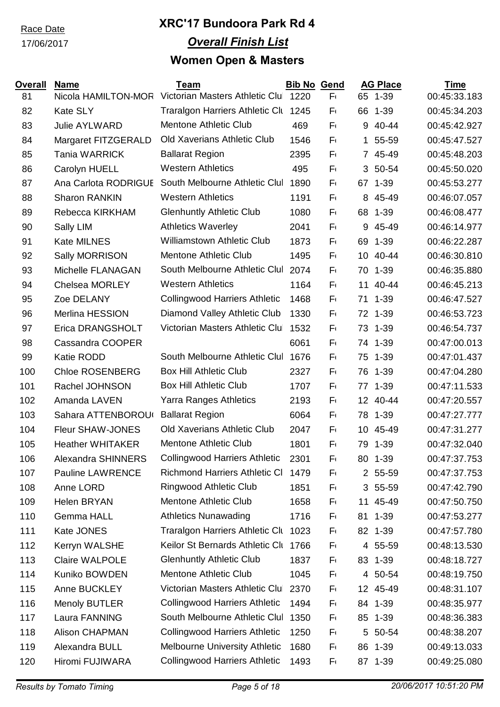### 17/06/2017

| <b>Overall</b><br>81 | <b>Name</b><br>Nicola HAMILTON-MOR | <b>Team</b><br>Victorian Masters Athletic Clul 1220 | <b>Bib No Gend</b> | $F_{1}$ | 65          | <b>AG Place</b><br>$1 - 39$ | <b>Time</b><br>00:45:33.183 |
|----------------------|------------------------------------|-----------------------------------------------------|--------------------|---------|-------------|-----------------------------|-----------------------------|
| 82                   | <b>Kate SLY</b>                    | Traralgon Harriers Athletic Clu 1245                |                    | $F_{1}$ | 66          | $1 - 39$                    | 00:45:34.203                |
| 83                   | <b>Julie AYLWARD</b>               | <b>Mentone Athletic Club</b>                        | 469                | $F_{1}$ | 9           | 40-44                       | 00:45:42.927                |
| 84                   | Margaret FITZGERALD                | Old Xaverians Athletic Club                         | 1546               | $F_{1}$ | $\mathbf 1$ | 55-59                       | 00:45:47.527                |
| 85                   | <b>Tania WARRICK</b>               | <b>Ballarat Region</b>                              | 2395               | $F_{1}$ |             | 7 45-49                     | 00:45:48.203                |
| 86                   | Carolyn HUELL                      | <b>Western Athletics</b>                            | 495                | $F_{1}$ | 3           | 50-54                       | 00:45:50.020                |
| 87                   | Ana Carlota RODRIGUE               | South Melbourne Athletic Clul                       | 1890               | $F_{1}$ |             | 67 1-39                     | 00:45:53.277                |
| 88                   | <b>Sharon RANKIN</b>               | <b>Western Athletics</b>                            | 1191               | $F_{1}$ | 8           | 45-49                       | 00:46:07.057                |
| 89                   | Rebecca KIRKHAM                    | <b>Glenhuntly Athletic Club</b>                     | 1080               | Fι      | 68          | $1 - 39$                    | 00:46:08.477                |
| 90                   | Sally LIM                          | <b>Athletics Waverley</b>                           | 2041               | $F_{1}$ | 9           | 45-49                       | 00:46:14.977                |
| 91                   | <b>Kate MILNES</b>                 | <b>Williamstown Athletic Club</b>                   | 1873               | F١      | 69          | $1 - 39$                    | 00:46:22.287                |
| 92                   | Sally MORRISON                     | <b>Mentone Athletic Club</b>                        | 1495               | $F_{1}$ | 10          | 40-44                       | 00:46:30.810                |
| 93                   | Michelle FLANAGAN                  | South Melbourne Athletic Clul                       | 2074               | $F_{1}$ | 70          | $1 - 39$                    | 00:46:35.880                |
| 94                   | <b>Chelsea MORLEY</b>              | <b>Western Athletics</b>                            | 1164               | $F_{1}$ | 11          | 40-44                       | 00:46:45.213                |
| 95                   | Zoe DELANY                         | <b>Collingwood Harriers Athletic</b>                | 1468               | $F_{1}$ | 71          | $1 - 39$                    | 00:46:47.527                |
| 96                   | Merlina HESSION                    | Diamond Valley Athletic Club                        | 1330               | $F_{1}$ | 72          | $1 - 39$                    | 00:46:53.723                |
| 97                   | Erica DRANGSHOLT                   | Victorian Masters Athletic Clul                     | 1532               | $F_{1}$ | 73          | $1 - 39$                    | 00:46:54.737                |
| 98                   | Cassandra COOPER                   |                                                     | 6061               | $F_{1}$ | 74          | $1 - 39$                    | 00:47:00.013                |
| 99                   | <b>Katie RODD</b>                  | South Melbourne Athletic Clul                       | 1676               | F١      | 75          | $1 - 39$                    | 00:47:01.437                |
| 100                  | <b>Chloe ROSENBERG</b>             | <b>Box Hill Athletic Club</b>                       | 2327               | $F_{1}$ | 76          | $1 - 39$                    | 00:47:04.280                |
| 101                  | Rachel JOHNSON                     | <b>Box Hill Athletic Club</b>                       | 1707               | $F_{1}$ |             | 77 1-39                     | 00:47:11.533                |
| 102                  | Amanda LAVEN                       | <b>Yarra Ranges Athletics</b>                       | 2193               | Fι      |             | 12 40-44                    | 00:47:20.557                |
| 103                  | Sahara ATTENBOROU                  | <b>Ballarat Region</b>                              | 6064               | F١      | 78          | $1 - 39$                    | 00:47:27.777                |
| 104                  | Fleur SHAW-JONES                   | <b>Old Xaverians Athletic Club</b>                  | 2047               | F١      | 10          | 45-49                       | 00:47:31.277                |
| 105                  | <b>Heather WHITAKER</b>            | <b>Mentone Athletic Club</b>                        | 1801               | $F_{1}$ | 79          | $1 - 39$                    | 00:47:32.040                |
| 106                  | <b>Alexandra SHINNERS</b>          | <b>Collingwood Harriers Athletic</b>                | 2301               | $F_{1}$ | 80          | $1 - 39$                    | 00:47:37.753                |
| 107                  | <b>Pauline LAWRENCE</b>            | <b>Richmond Harriers Athletic CI</b>                | 1479               | F١      |             | 2 55-59                     | 00:47:37.753                |
| 108                  | Anne LORD                          | <b>Ringwood Athletic Club</b>                       | 1851               | Fι      |             | 3 55-59                     | 00:47:42.790                |
| 109                  | <b>Helen BRYAN</b>                 | <b>Mentone Athletic Club</b>                        | 1658               | Fι      |             | 11 45-49                    | 00:47:50.750                |
| 110                  | <b>Gemma HALL</b>                  | <b>Athletics Nunawading</b>                         | 1716               | $F_{1}$ |             | 81 1-39                     | 00:47:53.277                |
| 111                  | Kate JONES                         | <b>Traralgon Harriers Athletic Clu</b>              | 1023               | Fι      |             | 82 1-39                     | 00:47:57.780                |
| 112                  | Kerryn WALSHE                      | Keilor St Bernards Athletic Clu                     | 1766               | F١      |             | 4 55-59                     | 00:48:13.530                |
| 113                  | <b>Claire WALPOLE</b>              | <b>Glenhuntly Athletic Club</b>                     | 1837               | $F_{1}$ |             | 83 1-39                     | 00:48:18.727                |
| 114                  | Kuniko BOWDEN                      | Mentone Athletic Club                               | 1045               | F١      |             | 4 50-54                     | 00:48:19.750                |
| 115                  | Anne BUCKLEY                       | Victorian Masters Athletic Clul                     | 2370               | Fι      |             | 12 45-49                    | 00:48:31.107                |
| 116                  | <b>Menoly BUTLER</b>               | <b>Collingwood Harriers Athletic</b>                | 1494               | Fι      |             | 84 1-39                     | 00:48:35.977                |
| 117                  | Laura FANNING                      | South Melbourne Athletic Clul                       | 1350               | Fι      |             | 85 1-39                     | 00:48:36.383                |
| 118                  | <b>Alison CHAPMAN</b>              | <b>Collingwood Harriers Athletic</b>                | 1250               | $F_{1}$ |             | 5 50-54                     | 00:48:38.207                |
| 119                  | Alexandra BULL                     | Melbourne University Athletic                       | 1680               | F١      | 86          | $1 - 39$                    | 00:49:13.033                |
| 120                  | Hiromi FUJIWARA                    | <b>Collingwood Harriers Athletic</b>                | 1493               | $F_{1}$ |             | 87 1-39                     | 00:49:25.080                |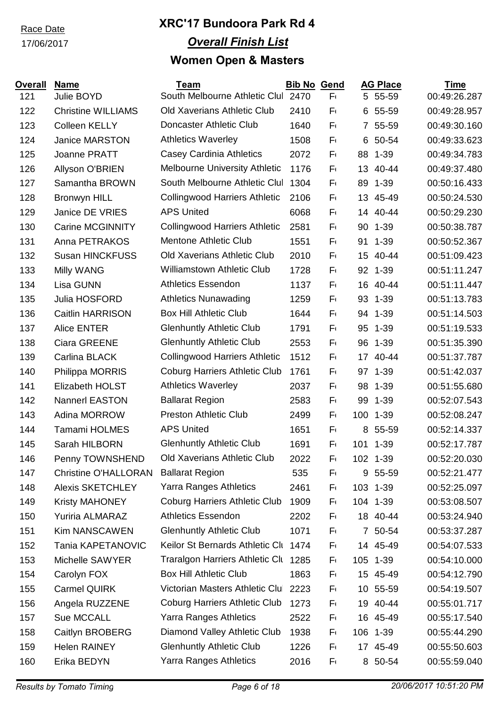### 17/06/2017

| <b>Overall</b><br>121 | <b>Name</b><br>Julie BOYD              | <b>Team</b><br>South Melbourne Athletic Clul | <b>Bib No Gend</b><br>2470 | $F_{1}$ |          | <b>AG Place</b><br>5 55-59 | <b>Time</b><br>00:49:26.287 |
|-----------------------|----------------------------------------|----------------------------------------------|----------------------------|---------|----------|----------------------------|-----------------------------|
| 122                   | <b>Christine WILLIAMS</b>              | <b>Old Xaverians Athletic Club</b>           | 2410                       | $F_{1}$ | 6        | 55-59                      | 00:49:28.957                |
| 123                   | <b>Colleen KELLY</b>                   | Doncaster Athletic Club                      | 1640                       | $F_{1}$ |          | 7 55-59                    | 00:49:30.160                |
| 124                   | <b>Janice MARSTON</b>                  | <b>Athletics Waverley</b>                    | 1508                       | Fι      | 6        | 50-54                      | 00:49:33.623                |
| 125                   | Joanne PRATT                           | Casey Cardinia Athletics                     | 2072                       | $F_{1}$ | 88       | $1 - 39$                   | 00:49:34.783                |
| 126                   | Allyson O'BRIEN                        | <b>Melbourne University Athletic</b>         | 1176                       | $F_1$   | 13       | 40-44                      | 00:49:37.480                |
|                       | Samantha BROWN                         | South Melbourne Athletic Clul                | 1304                       | $F_1$   |          | $1 - 39$                   | 00:50:16.433                |
| 127<br>128            |                                        | <b>Collingwood Harriers Athletic</b>         | 2106                       | $F_1$   | 89       | 45-49                      |                             |
|                       | <b>Bronwyn HILL</b><br>Janice DE VRIES | <b>APS United</b>                            | 6068                       |         | 13<br>14 | 40-44                      | 00:50:24.530                |
| 129                   |                                        |                                              |                            | Fι      |          |                            | 00:50:29.230                |
| 130                   | <b>Carine MCGINNITY</b>                | <b>Collingwood Harriers Athletic</b>         | 2581                       | $F_1$   | 90       | $1 - 39$                   | 00:50:38.787                |
| 131                   | Anna PETRAKOS                          | <b>Mentone Athletic Club</b>                 | 1551                       | $F_1$   | 91       | $1 - 39$                   | 00:50:52.367                |
| 132                   | <b>Susan HINCKFUSS</b>                 | <b>Old Xaverians Athletic Club</b>           | 2010                       | $F_1$   | 15       | 40-44                      | 00:51:09.423                |
| 133                   | Milly WANG                             | <b>Williamstown Athletic Club</b>            | 1728                       | $F_1$   | 92       | $1 - 39$                   | 00:51:11.247                |
| 134                   | Lisa GUNN                              | <b>Athletics Essendon</b>                    | 1137                       | $F_1$   | 16       | 40-44                      | 00:51:11.447                |
| 135                   | Julia HOSFORD                          | <b>Athletics Nunawading</b>                  | 1259                       | $F_1$   | 93       | $1 - 39$                   | 00:51:13.783                |
| 136                   | Caitlin HARRISON                       | <b>Box Hill Athletic Club</b>                | 1644                       | $F_{1}$ | 94       | $1 - 39$                   | 00:51:14.503                |
| 137                   | <b>Alice ENTER</b>                     | <b>Glenhuntly Athletic Club</b>              | 1791                       | $F_1$   | 95       | $1 - 39$                   | 00:51:19.533                |
| 138                   | <b>Ciara GREENE</b>                    | <b>Glenhuntly Athletic Club</b>              | 2553                       | $F_{1}$ | 96       | $1 - 39$                   | 00:51:35.390                |
| 139                   | Carlina BLACK                          | <b>Collingwood Harriers Athletic</b>         | 1512                       | $F_{1}$ |          | 17 40-44                   | 00:51:37.787                |
| 140                   | Philippa MORRIS                        | <b>Coburg Harriers Athletic Club</b>         | 1761                       | $F_{1}$ |          | 97 1-39                    | 00:51:42.037                |
| 141                   | <b>Elizabeth HOLST</b>                 | <b>Athletics Waverley</b>                    | 2037                       | $F_1$   | 98       | $1 - 39$                   | 00:51:55.680                |
| 142                   | <b>Nannerl EASTON</b>                  | <b>Ballarat Region</b>                       | 2583                       | $F_{1}$ | 99       | $1 - 39$                   | 00:52:07.543                |
| 143                   | Adina MORROW                           | <b>Preston Athletic Club</b>                 | 2499                       | $F_{1}$ | 100      | $1 - 39$                   | 00:52:08.247                |
| 144                   | <b>Tamami HOLMES</b>                   | <b>APS United</b>                            | 1651                       | Fι      | 8        | 55-59                      | 00:52:14.337                |
| 145                   | Sarah HILBORN                          | <b>Glenhuntly Athletic Club</b>              | 1691                       | $F_1$   | 101      | $1 - 39$                   | 00:52:17.787                |
| 146                   | Penny TOWNSHEND                        | Old Xaverians Athletic Club                  | 2022                       | $F_{1}$ |          | 102 1-39                   | 00:52:20.030                |
| 147                   | <b>Christine O'HALLORAN</b>            | <b>Ballarat Region</b>                       | 535                        | $F_{1}$ |          | 9 55-59                    | 00:52:21.477                |
| 148                   | <b>Alexis SKETCHLEY</b>                | <b>Yarra Ranges Athletics</b>                | 2461                       | F١      |          | 103 1-39                   | 00:52:25.097                |
| 149                   | Kristy MAHONEY                         | <b>Coburg Harriers Athletic Club</b>         | 1909                       | F١      |          | 104 1-39                   | 00:53:08.507                |
| 150                   | <b>Yuriria ALMARAZ</b>                 | <b>Athletics Essendon</b>                    | 2202                       | $F_1$   |          | 18 40-44                   | 00:53:24.940                |
| 151                   | <b>Kim NANSCAWEN</b>                   | <b>Glenhuntly Athletic Club</b>              | 1071                       | F١      |          | 7 50-54                    | 00:53:37.287                |
| 152                   | Tania KAPETANOVIC                      | Keilor St Bernards Athletic Clu              | 1474                       | F١      |          | 14 45-49                   | 00:54:07.533                |
| 153                   | Michelle SAWYER                        | <b>Traralgon Harriers Athletic Clu</b>       | 1285                       | F٢      |          | 105 1-39                   | 00:54:10.000                |
| 154                   | Carolyn FOX                            | <b>Box Hill Athletic Club</b>                | 1863                       | F١      |          | 15 45-49                   | 00:54:12.790                |
| 155                   | Carmel QUIRK                           | Victorian Masters Athletic Clul              | 2223                       | F١      | 10       | 55-59                      | 00:54:19.507                |
| 156                   | Angela RUZZENE                         | <b>Coburg Harriers Athletic Club</b>         | 1273                       | F١      | 19       | 40-44                      | 00:55:01.717                |
| 157                   | Sue MCCALL                             | <b>Yarra Ranges Athletics</b>                | 2522                       | F١      | 16       | 45-49                      | 00:55:17.540                |
| 158                   | Caitlyn BROBERG                        | Diamond Valley Athletic Club                 | 1938                       | $F_{1}$ |          | 106 1-39                   | 00:55:44.290                |
| 159                   | <b>Helen RAINEY</b>                    | <b>Glenhuntly Athletic Club</b>              | 1226                       | $F_{1}$ |          | 17 45-49                   | 00:55:50.603                |
| 160                   | Erika BEDYN                            | Yarra Ranges Athletics                       | 2016                       | Fι      |          | 8 50-54                    | 00:55:59.040                |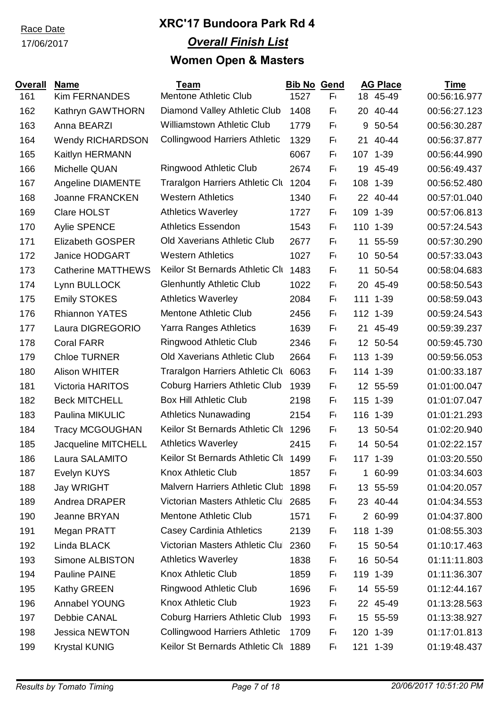### 17/06/2017

| <b>Overall</b> | <b>Name</b>               | <b>Team</b>                            | <b>Bib No Gend</b> |         |     | <b>AG Place</b> | <b>Time</b>  |
|----------------|---------------------------|----------------------------------------|--------------------|---------|-----|-----------------|--------------|
| 161            | <b>Kim FERNANDES</b>      | <b>Mentone Athletic Club</b>           | 1527               | $F_{1}$ |     | 18 45-49        | 00:56:16.977 |
| 162            | Kathryn GAWTHORN          | Diamond Valley Athletic Club           | 1408               | Fι      | 20  | 40-44           | 00:56:27.123 |
| 163            | Anna BEARZI               | <b>Williamstown Athletic Club</b>      | 1779               | $F_{1}$ |     | 9 50-54         | 00:56:30.287 |
| 164            | <b>Wendy RICHARDSON</b>   | <b>Collingwood Harriers Athletic</b>   | 1329               | F١      | 21  | 40-44           | 00:56:37.877 |
| 165            | Kaitlyn HERMANN           |                                        | 6067               | F١      |     | 107 1-39        | 00:56:44.990 |
| 166            | Michelle QUAN             | Ringwood Athletic Club                 | 2674               | $F_{1}$ | 19  | 45-49           | 00:56:49.437 |
| 167            | <b>Angeline DIAMENTE</b>  | <b>Traralgon Harriers Athletic Clu</b> | 1204               | Fι      | 108 | $1 - 39$        | 00:56:52.480 |
| 168            | Joanne FRANCKEN           | <b>Western Athletics</b>               | 1340               | F١      | 22  | 40-44           | 00:57:01.040 |
| 169            | <b>Clare HOLST</b>        | <b>Athletics Waverley</b>              | 1727               | F١      |     | 109 1-39        | 00:57:06.813 |
| 170            | <b>Aylie SPENCE</b>       | <b>Athletics Essendon</b>              | 1543               | F١      |     | 110 1-39        | 00:57:24.543 |
| 171            | <b>Elizabeth GOSPER</b>   | <b>Old Xaverians Athletic Club</b>     | 2677               | $F_{1}$ |     | 11 55-59        | 00:57:30.290 |
| 172            | Janice HODGART            | <b>Western Athletics</b>               | 1027               | F١      |     | 10 50-54        | 00:57:33.043 |
| 173            | <b>Catherine MATTHEWS</b> | Keilor St Bernards Athletic Clu        | 1483               | F١      | 11  | 50-54           | 00:58:04.683 |
| 174            | Lynn BULLOCK              | <b>Glenhuntly Athletic Club</b>        | 1022               | Fι      | 20  | 45-49           | 00:58:50.543 |
| 175            | <b>Emily STOKES</b>       | <b>Athletics Waverley</b>              | 2084               | Fι      |     | 111 1-39        | 00:58:59.043 |
| 176            | <b>Rhiannon YATES</b>     | <b>Mentone Athletic Club</b>           | 2456               | Fι      |     | 112 1-39        | 00:59:24.543 |
| 177            | Laura DIGREGORIO          | Yarra Ranges Athletics                 | 1639               | F١      |     | 21 45-49        | 00:59:39.237 |
| 178            | <b>Coral FARR</b>         | Ringwood Athletic Club                 | 2346               | F١      |     | 12 50-54        | 00:59:45.730 |
| 179            | <b>Chloe TURNER</b>       | <b>Old Xaverians Athletic Club</b>     | 2664               | $F_{1}$ |     | 113 1-39        | 00:59:56.053 |
| 180            | <b>Alison WHITER</b>      | <b>Traralgon Harriers Athletic Clu</b> | 6063               | $F_{1}$ |     | 114 1-39        | 01:00:33.187 |
| 181            | <b>Victoria HARITOS</b>   | <b>Coburg Harriers Athletic Club</b>   | 1939               | $F_{1}$ |     | 12 55-59        | 01:01:00.047 |
| 182            | <b>Beck MITCHELL</b>      | <b>Box Hill Athletic Club</b>          | 2198               | F١      |     | 115 1-39        | 01:01:07.047 |
| 183            | Paulina MIKULIC           | <b>Athletics Nunawading</b>            | 2154               | $F_{1}$ |     | 116 1-39        | 01:01:21.293 |
| 184            | <b>Tracy MCGOUGHAN</b>    | Keilor St Bernards Athletic Clu        | 1296               | F١      |     | 13 50-54        | 01:02:20.940 |
| 185            | Jacqueline MITCHELL       | <b>Athletics Waverley</b>              | 2415               | F١      |     | 14 50-54        | 01:02:22.157 |
| 186            | Laura SALAMITO            | Keilor St Bernards Athletic Clt 1499   |                    | Fι      |     | 117 1-39        | 01:03:20.550 |
| 187            | Evelyn KUYS               | <b>Knox Athletic Club</b>              | 1857               | F١      |     | 1 60-99         | 01:03:34.603 |
| 188            | <b>Jay WRIGHT</b>         | Malvern Harriers Athletic Club         | 1898               | F١      |     | 13 55-59        | 01:04:20.057 |
| 189            | Andrea DRAPER             | Victorian Masters Athletic Clul 2685   |                    | Fι      |     | 23 40-44        | 01:04:34.553 |
| 190            | <b>Jeanne BRYAN</b>       | <b>Mentone Athletic Club</b>           | 1571               | F١      |     | 2 60-99         | 01:04:37.800 |
| 191            | Megan PRATT               | <b>Casey Cardinia Athletics</b>        | 2139               | Fι      |     | 118 1-39        | 01:08:55.303 |
| 192            | Linda BLACK               | Victorian Masters Athletic Clul        | 2360               | Fι      |     | 15 50-54        | 01:10:17.463 |
| 193            | Simone ALBISTON           | <b>Athletics Waverley</b>              | 1838               | Fι      |     | 16 50-54        | 01:11:11.803 |
| 194            | Pauline PAINE             | <b>Knox Athletic Club</b>              | 1859               | F١      |     | 119 1-39        | 01:11:36.307 |
| 195            | Kathy GREEN               | <b>Ringwood Athletic Club</b>          | 1696               | F١      |     | 14 55-59        | 01:12:44.167 |
| 196            | <b>Annabel YOUNG</b>      | Knox Athletic Club                     | 1923               | F١      |     | 22 45-49        | 01:13:28.563 |
| 197            | Debbie CANAL              | <b>Coburg Harriers Athletic Club</b>   | 1993               | F١      |     | 15 55-59        | 01:13:38.927 |
| 198            | Jessica NEWTON            | <b>Collingwood Harriers Athletic</b>   | 1709               | F١      |     | 120 1-39        | 01:17:01.813 |
| 199            | <b>Krystal KUNIG</b>      | Keilor St Bernards Athletic Clu 1889   |                    | F١      |     | 121 1-39        | 01:19:48.437 |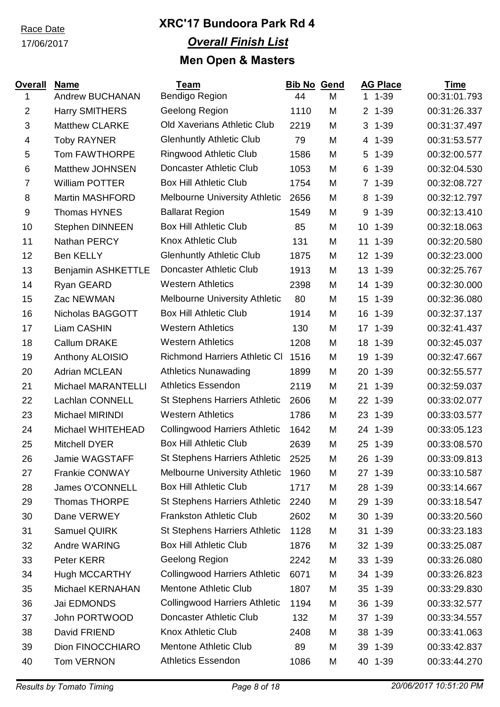#### 17/06/2017

| <b>Overall</b> | <b>Name</b>               | <b>Team</b>                          | <b>Bib No</b> | <b>Gend</b> | <b>AG Place</b>            | <u>Time</u>  |
|----------------|---------------------------|--------------------------------------|---------------|-------------|----------------------------|--------------|
| 1              | <b>Andrew BUCHANAN</b>    | Bendigo Region                       | 44            | M           | $11 - 39$                  | 00:31:01.793 |
| $\overline{2}$ | <b>Harry SMITHERS</b>     | Geelong Region                       | 1110          | M           | $1 - 39$<br>$\overline{2}$ | 00:31:26.337 |
| $\mathbf{3}$   | <b>Matthew CLARKE</b>     | <b>Old Xaverians Athletic Club</b>   | 2219          | M           | $3 - 1 - 39$               | 00:31:37.497 |
| 4              | <b>Toby RAYNER</b>        | <b>Glenhuntly Athletic Club</b>      | 79            | M           | 4 1-39                     | 00:31:53.577 |
| $\sqrt{5}$     | Tom FAWTHORPE             | Ringwood Athletic Club               | 1586          | M           | 5<br>$1 - 39$              | 00:32:00.577 |
| 6              | Matthew JOHNSEN           | Doncaster Athletic Club              | 1053          | M           | 6<br>$1 - 39$              | 00:32:04.530 |
| $\overline{7}$ | <b>William POTTER</b>     | <b>Box Hill Athletic Club</b>        | 1754          | M           | $\overline{7}$<br>$1 - 39$ | 00:32:08.727 |
| 8              | <b>Martin MASHFORD</b>    | <b>Melbourne University Athletic</b> | 2656          | M           | 8<br>$1 - 39$              | 00:32:12.797 |
| $9\,$          | <b>Thomas HYNES</b>       | <b>Ballarat Region</b>               | 1549          | M           | 9<br>$1 - 39$              | 00:32:13.410 |
| 10             | <b>Stephen DINNEEN</b>    | <b>Box Hill Athletic Club</b>        | 85            | M           | 10 1-39                    | 00:32:18.063 |
| 11             | Nathan PERCY              | <b>Knox Athletic Club</b>            | 131           | M           | 11<br>$1 - 39$             | 00:32:20.580 |
| 12             | <b>Ben KELLY</b>          | <b>Glenhuntly Athletic Club</b>      | 1875          | M           | 12 1-39                    | 00:32:23.000 |
| 13             | <b>Benjamin ASHKETTLE</b> | Doncaster Athletic Club              | 1913          | M           | 13<br>$1 - 39$             | 00:32:25.767 |
| 14             | Ryan GEARD                | <b>Western Athletics</b>             | 2398          | M           | 14<br>$1 - 39$             | 00:32:30.000 |
| 15             | Zac NEWMAN                | <b>Melbourne University Athletic</b> | 80            | M           | 15<br>$1 - 39$             | 00:32:36.080 |
| 16             | Nicholas BAGGOTT          | <b>Box Hill Athletic Club</b>        | 1914          | M           | 16<br>$1 - 39$             | 00:32:37.137 |
| 17             | Liam CASHIN               | <b>Western Athletics</b>             | 130           | M           | 17 1-39                    | 00:32:41.437 |
| 18             | <b>Callum DRAKE</b>       | <b>Western Athletics</b>             | 1208          | M           | 18<br>$1 - 39$             | 00:32:45.037 |
| 19             | Anthony ALOISIO           | <b>Richmond Harriers Athletic CI</b> | 1516          | M           | 19 1-39                    | 00:32:47.667 |
| 20             | <b>Adrian MCLEAN</b>      | <b>Athletics Nunawading</b>          | 1899          | M           | 20<br>$1 - 39$             | 00:32:55.577 |
| 21             | Michael MARANTELLI        | <b>Athletics Essendon</b>            | 2119          | M           | 21<br>$1 - 39$             | 00:32:59.037 |
| 22             | Lachlan CONNELL           | <b>St Stephens Harriers Athletic</b> | 2606          | M           | 22<br>$1 - 39$             | 00:33:02.077 |
| 23             | Michael MIRINDI           | <b>Western Athletics</b>             | 1786          | M           | 23<br>$1 - 39$             | 00:33:03.577 |
| 24             | Michael WHITEHEAD         | <b>Collingwood Harriers Athletic</b> | 1642          | M           | 24 1-39                    | 00:33:05.123 |
| 25             | Mitchell DYER             | <b>Box Hill Athletic Club</b>        | 2639          | M           | 25 1-39                    | 00:33:08.570 |
| 26             | Jamie WAGSTAFF            | <b>St Stephens Harriers Athletic</b> | 2525          | M           | 26<br>$1 - 39$             | 00:33:09.813 |
| 27             | <b>Frankie CONWAY</b>     | <b>Melbourne University Athletic</b> | 1960          | M           | 27 1-39                    | 00:33:10.587 |
| 28             | James O'CONNELL           | <b>Box Hill Athletic Club</b>        | 1717          | M           | 28<br>$1 - 39$             | 00:33:14.667 |
| 29             | <b>Thomas THORPE</b>      | <b>St Stephens Harriers Athletic</b> | 2240          | M           | 29<br>$1 - 39$             | 00:33:18.547 |
| 30             | Dane VERWEY               | <b>Frankston Athletic Club</b>       | 2602          | M           | 30<br>$1 - 39$             | 00:33:20.560 |
| 31             | Samuel QUIRK              | <b>St Stephens Harriers Athletic</b> | 1128          | M           | $1 - 39$<br>31             | 00:33:23.183 |
| 32             | Andre WARING              | <b>Box Hill Athletic Club</b>        | 1876          | M           | 32 1-39                    | 00:33:25.087 |
| 33             | Peter KERR                | Geelong Region                       | 2242          | M           | 33 1-39                    | 00:33:26.080 |
| 34             | <b>Hugh MCCARTHY</b>      | <b>Collingwood Harriers Athletic</b> | 6071          | M           | 34 1-39                    | 00:33:26.823 |
| 35             | Michael KERNAHAN          | <b>Mentone Athletic Club</b>         | 1807          | M           | $1 - 39$<br>35             | 00:33:29.830 |
| 36             | Jai EDMONDS               | <b>Collingwood Harriers Athletic</b> | 1194          | M           | 36 1-39                    | 00:33:32.577 |
| 37             | John PORTWOOD             | Doncaster Athletic Club              | 132           | M           | 37 1-39                    | 00:33:34.557 |
| 38             | David FRIEND              | Knox Athletic Club                   | 2408          | M           | 38<br>$1 - 39$             | 00:33:41.063 |
| 39             | Dion FINOCCHIARO          | <b>Mentone Athletic Club</b>         | 89            | M           | 39 1-39                    | 00:33:42.837 |
| 40             | Tom VERNON                | <b>Athletics Essendon</b>            | 1086          | M           | 40 1-39                    | 00:33:44.270 |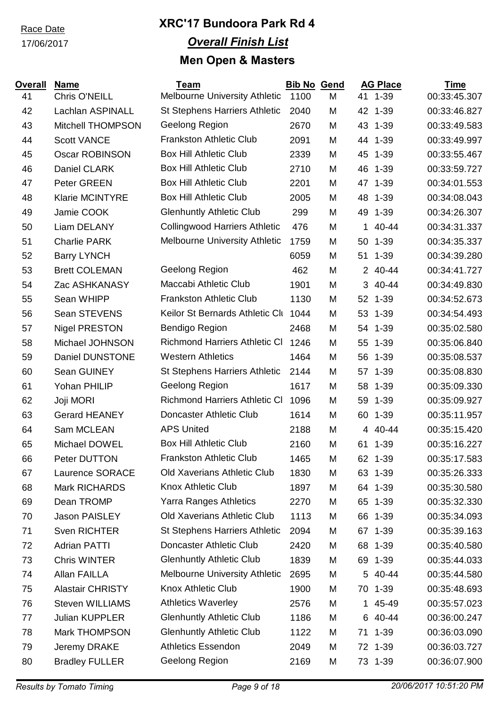17/06/2017

| <b>Chris O'NEILL</b><br><b>Melbourne University Athletic</b><br>1100<br>41 1-39<br>00:33:45.307<br>41<br>M<br>Lachlan ASPINALL<br><b>St Stephens Harriers Athletic</b><br>00:33:46.827<br>42<br>2040<br>M<br>42<br>$1 - 39$<br>43<br>Geelong Region<br><b>Mitchell THOMPSON</b><br>2670<br>M<br>43<br>$1 - 39$<br>00:33:49.583<br><b>Frankston Athletic Club</b><br>44<br><b>Scott VANCE</b><br>2091<br>M<br>44<br>$1 - 39$<br>00:33:49.997<br><b>Box Hill Athletic Club</b><br>45<br><b>Oscar ROBINSON</b><br>2339<br>45<br>$1 - 39$<br>00:33:55.467<br>M<br><b>Box Hill Athletic Club</b><br>46<br>Daniel CLARK<br>00:33:59.727<br>2710<br>M<br>46<br>$1 - 39$<br><b>Box Hill Athletic Club</b><br>Peter GREEN<br>47<br>2201<br>M<br>47<br>$1 - 39$<br>00:34:01.553<br><b>Box Hill Athletic Club</b><br><b>Klarie MCINTYRE</b><br>48<br>2005<br>48<br>$1 - 39$<br>00:34:08.043<br>M<br>Jamie COOK<br><b>Glenhuntly Athletic Club</b><br>00:34:26.307<br>49<br>299<br>49<br>$1 - 39$<br>M<br><b>Collingwood Harriers Athletic</b><br>50<br>Liam DELANY<br>476<br>40-44<br>00:34:31.337<br>M<br>1.<br><b>Melbourne University Athletic</b><br>00:34:35.337<br>51<br><b>Charlie PARK</b><br>1759<br>M<br>50<br>$1 - 39$<br>52<br><b>Barry LYNCH</b><br>M<br>51 1-39<br>00:34:39.280<br>6059<br>53<br><b>Brett COLEMAN</b><br>Geelong Region<br>40-44<br>462<br>M<br>$\overline{2}$<br>00:34:41.727 |
|---------------------------------------------------------------------------------------------------------------------------------------------------------------------------------------------------------------------------------------------------------------------------------------------------------------------------------------------------------------------------------------------------------------------------------------------------------------------------------------------------------------------------------------------------------------------------------------------------------------------------------------------------------------------------------------------------------------------------------------------------------------------------------------------------------------------------------------------------------------------------------------------------------------------------------------------------------------------------------------------------------------------------------------------------------------------------------------------------------------------------------------------------------------------------------------------------------------------------------------------------------------------------------------------------------------------------------------------------------------------------------------------------|
|                                                                                                                                                                                                                                                                                                                                                                                                                                                                                                                                                                                                                                                                                                                                                                                                                                                                                                                                                                                                                                                                                                                                                                                                                                                                                                                                                                                                   |
|                                                                                                                                                                                                                                                                                                                                                                                                                                                                                                                                                                                                                                                                                                                                                                                                                                                                                                                                                                                                                                                                                                                                                                                                                                                                                                                                                                                                   |
|                                                                                                                                                                                                                                                                                                                                                                                                                                                                                                                                                                                                                                                                                                                                                                                                                                                                                                                                                                                                                                                                                                                                                                                                                                                                                                                                                                                                   |
|                                                                                                                                                                                                                                                                                                                                                                                                                                                                                                                                                                                                                                                                                                                                                                                                                                                                                                                                                                                                                                                                                                                                                                                                                                                                                                                                                                                                   |
|                                                                                                                                                                                                                                                                                                                                                                                                                                                                                                                                                                                                                                                                                                                                                                                                                                                                                                                                                                                                                                                                                                                                                                                                                                                                                                                                                                                                   |
|                                                                                                                                                                                                                                                                                                                                                                                                                                                                                                                                                                                                                                                                                                                                                                                                                                                                                                                                                                                                                                                                                                                                                                                                                                                                                                                                                                                                   |
|                                                                                                                                                                                                                                                                                                                                                                                                                                                                                                                                                                                                                                                                                                                                                                                                                                                                                                                                                                                                                                                                                                                                                                                                                                                                                                                                                                                                   |
|                                                                                                                                                                                                                                                                                                                                                                                                                                                                                                                                                                                                                                                                                                                                                                                                                                                                                                                                                                                                                                                                                                                                                                                                                                                                                                                                                                                                   |
|                                                                                                                                                                                                                                                                                                                                                                                                                                                                                                                                                                                                                                                                                                                                                                                                                                                                                                                                                                                                                                                                                                                                                                                                                                                                                                                                                                                                   |
|                                                                                                                                                                                                                                                                                                                                                                                                                                                                                                                                                                                                                                                                                                                                                                                                                                                                                                                                                                                                                                                                                                                                                                                                                                                                                                                                                                                                   |
|                                                                                                                                                                                                                                                                                                                                                                                                                                                                                                                                                                                                                                                                                                                                                                                                                                                                                                                                                                                                                                                                                                                                                                                                                                                                                                                                                                                                   |
|                                                                                                                                                                                                                                                                                                                                                                                                                                                                                                                                                                                                                                                                                                                                                                                                                                                                                                                                                                                                                                                                                                                                                                                                                                                                                                                                                                                                   |
|                                                                                                                                                                                                                                                                                                                                                                                                                                                                                                                                                                                                                                                                                                                                                                                                                                                                                                                                                                                                                                                                                                                                                                                                                                                                                                                                                                                                   |
| Maccabi Athletic Club<br>54<br>Zac ASHKANASY<br>1901<br>3 40-44<br>00:34:49.830<br>M                                                                                                                                                                                                                                                                                                                                                                                                                                                                                                                                                                                                                                                                                                                                                                                                                                                                                                                                                                                                                                                                                                                                                                                                                                                                                                              |
| <b>Frankston Athletic Club</b><br>Sean WHIPP<br>55<br>1130<br>M<br>52<br>$1 - 39$<br>00:34:52.673                                                                                                                                                                                                                                                                                                                                                                                                                                                                                                                                                                                                                                                                                                                                                                                                                                                                                                                                                                                                                                                                                                                                                                                                                                                                                                 |
| Keilor St Bernards Athletic Clu<br>Sean STEVENS<br>56<br>1044<br>53<br>$1 - 39$<br>00:34:54.493<br>M                                                                                                                                                                                                                                                                                                                                                                                                                                                                                                                                                                                                                                                                                                                                                                                                                                                                                                                                                                                                                                                                                                                                                                                                                                                                                              |
| <b>Bendigo Region</b><br><b>Nigel PRESTON</b><br>57<br>2468<br>54<br>$1 - 39$<br>00:35:02.580<br>M                                                                                                                                                                                                                                                                                                                                                                                                                                                                                                                                                                                                                                                                                                                                                                                                                                                                                                                                                                                                                                                                                                                                                                                                                                                                                                |
| <b>Richmond Harriers Athletic CI</b><br>Michael JOHNSON<br>00:35:06.840<br>58<br>1246<br>55<br>$1 - 39$<br>M                                                                                                                                                                                                                                                                                                                                                                                                                                                                                                                                                                                                                                                                                                                                                                                                                                                                                                                                                                                                                                                                                                                                                                                                                                                                                      |
| <b>Western Athletics</b><br>59<br><b>Daniel DUNSTONE</b><br>1464<br>M<br>56<br>$1 - 39$<br>00:35:08.537                                                                                                                                                                                                                                                                                                                                                                                                                                                                                                                                                                                                                                                                                                                                                                                                                                                                                                                                                                                                                                                                                                                                                                                                                                                                                           |
| 60<br>Sean GUINEY<br><b>St Stephens Harriers Athletic</b><br>00:35:08.830<br>2144<br>M<br>57 1-39                                                                                                                                                                                                                                                                                                                                                                                                                                                                                                                                                                                                                                                                                                                                                                                                                                                                                                                                                                                                                                                                                                                                                                                                                                                                                                 |
| Geelong Region<br>Yohan PHILIP<br>61<br>1617<br>58<br>$1 - 39$<br>00:35:09.330<br>M                                                                                                                                                                                                                                                                                                                                                                                                                                                                                                                                                                                                                                                                                                                                                                                                                                                                                                                                                                                                                                                                                                                                                                                                                                                                                                               |
| <b>Richmond Harriers Athletic CI</b><br>62<br>Joji MORI<br>1096<br>M<br>59<br>$1 - 39$<br>00:35:09.927                                                                                                                                                                                                                                                                                                                                                                                                                                                                                                                                                                                                                                                                                                                                                                                                                                                                                                                                                                                                                                                                                                                                                                                                                                                                                            |
| Doncaster Athletic Club<br>63<br><b>Gerard HEANEY</b><br>1614<br>60<br>$1 - 39$<br>00:35:11.957<br>M                                                                                                                                                                                                                                                                                                                                                                                                                                                                                                                                                                                                                                                                                                                                                                                                                                                                                                                                                                                                                                                                                                                                                                                                                                                                                              |
| <b>APS United</b><br>Sam MCLEAN<br>00:35:15.420<br>64<br>2188<br>M<br>4 40-44                                                                                                                                                                                                                                                                                                                                                                                                                                                                                                                                                                                                                                                                                                                                                                                                                                                                                                                                                                                                                                                                                                                                                                                                                                                                                                                     |
| <b>Box Hill Athletic Club</b><br>Michael DOWEL<br>$1 - 39$<br>00:35:16.227<br>65<br>2160<br>61<br>M                                                                                                                                                                                                                                                                                                                                                                                                                                                                                                                                                                                                                                                                                                                                                                                                                                                                                                                                                                                                                                                                                                                                                                                                                                                                                               |
| 66<br>Peter DUTTON<br><b>Frankston Athletic Club</b><br>1465<br>M<br>62 1-39<br>00:35:17.583                                                                                                                                                                                                                                                                                                                                                                                                                                                                                                                                                                                                                                                                                                                                                                                                                                                                                                                                                                                                                                                                                                                                                                                                                                                                                                      |
| <b>Old Xaverians Athletic Club</b><br>Laurence SORACE<br>00:35:26.333<br>1830<br>63 1-39<br>67<br>M                                                                                                                                                                                                                                                                                                                                                                                                                                                                                                                                                                                                                                                                                                                                                                                                                                                                                                                                                                                                                                                                                                                                                                                                                                                                                               |
| <b>Knox Athletic Club</b><br><b>Mark RICHARDS</b><br>68<br>64 1-39<br>00:35:30.580<br>1897<br>M                                                                                                                                                                                                                                                                                                                                                                                                                                                                                                                                                                                                                                                                                                                                                                                                                                                                                                                                                                                                                                                                                                                                                                                                                                                                                                   |
| Yarra Ranges Athletics<br>Dean TROMP<br>00:35:32.330<br>69<br>2270<br>65 1-39<br>M                                                                                                                                                                                                                                                                                                                                                                                                                                                                                                                                                                                                                                                                                                                                                                                                                                                                                                                                                                                                                                                                                                                                                                                                                                                                                                                |
| Old Xaverians Athletic Club<br><b>Jason PAISLEY</b><br>1113<br>70<br>66 1-39<br>00:35:34.093<br>M                                                                                                                                                                                                                                                                                                                                                                                                                                                                                                                                                                                                                                                                                                                                                                                                                                                                                                                                                                                                                                                                                                                                                                                                                                                                                                 |
| Sven RICHTER<br><b>St Stephens Harriers Athletic</b><br>2094<br>$1 - 39$<br>00:35:39.163<br>71<br>M<br>67                                                                                                                                                                                                                                                                                                                                                                                                                                                                                                                                                                                                                                                                                                                                                                                                                                                                                                                                                                                                                                                                                                                                                                                                                                                                                         |
| Doncaster Athletic Club<br>72<br><b>Adrian PATTI</b><br>2420<br>00:35:40.580<br>M<br>68<br>$1 - 39$                                                                                                                                                                                                                                                                                                                                                                                                                                                                                                                                                                                                                                                                                                                                                                                                                                                                                                                                                                                                                                                                                                                                                                                                                                                                                               |
| <b>Glenhuntly Athletic Club</b><br><b>Chris WINTER</b><br>73<br>1839<br>$1 - 39$<br>00:35:44.033<br>M<br>69                                                                                                                                                                                                                                                                                                                                                                                                                                                                                                                                                                                                                                                                                                                                                                                                                                                                                                                                                                                                                                                                                                                                                                                                                                                                                       |
| Allan FAILLA<br><b>Melbourne University Athletic</b><br>5 40-44<br>74<br>2695<br>00:35:44.580<br>M                                                                                                                                                                                                                                                                                                                                                                                                                                                                                                                                                                                                                                                                                                                                                                                                                                                                                                                                                                                                                                                                                                                                                                                                                                                                                                |
| <b>Knox Athletic Club</b><br><b>Alastair CHRISTY</b><br>75<br>$1 - 39$<br>00:35:48.693<br>1900<br>M<br>70                                                                                                                                                                                                                                                                                                                                                                                                                                                                                                                                                                                                                                                                                                                                                                                                                                                                                                                                                                                                                                                                                                                                                                                                                                                                                         |
| <b>Athletics Waverley</b><br><b>Steven WILLIAMS</b><br>76<br>1 45-49<br>00:35:57.023<br>2576<br>M                                                                                                                                                                                                                                                                                                                                                                                                                                                                                                                                                                                                                                                                                                                                                                                                                                                                                                                                                                                                                                                                                                                                                                                                                                                                                                 |
| <b>Glenhuntly Athletic Club</b><br><b>Julian KUPPLER</b><br>6 40-44<br>00:36:00.247<br>77<br>1186<br>M                                                                                                                                                                                                                                                                                                                                                                                                                                                                                                                                                                                                                                                                                                                                                                                                                                                                                                                                                                                                                                                                                                                                                                                                                                                                                            |
| <b>Glenhuntly Athletic Club</b><br>78<br>Mark THOMPSON<br>1122<br>00:36:03.090<br>M<br>71 1-39                                                                                                                                                                                                                                                                                                                                                                                                                                                                                                                                                                                                                                                                                                                                                                                                                                                                                                                                                                                                                                                                                                                                                                                                                                                                                                    |
| <b>Athletics Essendon</b><br>79<br>Jeremy DRAKE<br>2049<br>00:36:03.727<br>M<br>72<br>$1 - 39$                                                                                                                                                                                                                                                                                                                                                                                                                                                                                                                                                                                                                                                                                                                                                                                                                                                                                                                                                                                                                                                                                                                                                                                                                                                                                                    |
| Geelong Region<br>80<br><b>Bradley FULLER</b><br>00:36:07.900<br>2169<br>M<br>73 1-39                                                                                                                                                                                                                                                                                                                                                                                                                                                                                                                                                                                                                                                                                                                                                                                                                                                                                                                                                                                                                                                                                                                                                                                                                                                                                                             |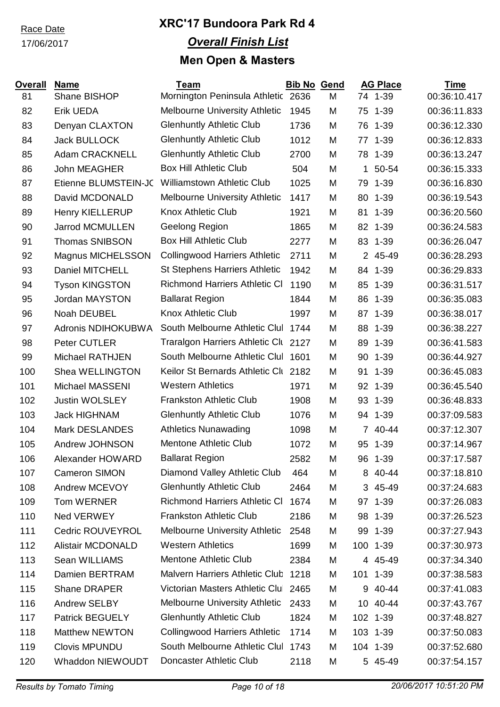#### 17/06/2017

| <b>Overall</b> | <b>Name</b>              | <b>Team</b>                          | <b>Bib No Gend</b> |   |                | <b>AG Place</b> | <b>Time</b>  |
|----------------|--------------------------|--------------------------------------|--------------------|---|----------------|-----------------|--------------|
| 81             | Shane BISHOP             | Mornington Peninsula Athletic 2636   |                    | M |                | 74 1-39         | 00:36:10.417 |
| 82             | <b>Erik UEDA</b>         | <b>Melbourne University Athletic</b> | 1945               | M | 75             | $1 - 39$        | 00:36:11.833 |
| 83             | Denyan CLAXTON           | <b>Glenhuntly Athletic Club</b>      | 1736               | M | 76             | $1 - 39$        | 00:36:12.330 |
| 84             | <b>Jack BULLOCK</b>      | <b>Glenhuntly Athletic Club</b>      | 1012               | M | 77             | $1 - 39$        | 00:36:12.833 |
| 85             | <b>Adam CRACKNELL</b>    | <b>Glenhuntly Athletic Club</b>      | 2700               | M | 78             | $1 - 39$        | 00:36:13.247 |
| 86             | John MEAGHER             | <b>Box Hill Athletic Club</b>        | 504                | M | 1              | 50-54           | 00:36:15.333 |
| 87             | Etienne BLUMSTEIN-JC     | <b>Williamstown Athletic Club</b>    | 1025               | M | 79             | $1 - 39$        | 00:36:16.830 |
| 88             | David MCDONALD           | <b>Melbourne University Athletic</b> | 1417               | M | 80             | $1 - 39$        | 00:36:19.543 |
| 89             | <b>Henry KIELLERUP</b>   | Knox Athletic Club                   | 1921               | M | 81             | $1 - 39$        | 00:36:20.560 |
| 90             | <b>Jarrod MCMULLEN</b>   | Geelong Region                       | 1865               | M |                | 82 1-39         | 00:36:24.583 |
| 91             | <b>Thomas SNIBSON</b>    | <b>Box Hill Athletic Club</b>        | 2277               | M | 83             | $1 - 39$        | 00:36:26.047 |
| 92             | <b>Magnus MICHELSSON</b> | <b>Collingwood Harriers Athletic</b> | 2711               | M |                | 2 45-49         | 00:36:28.293 |
| 93             | Daniel MITCHELL          | <b>St Stephens Harriers Athletic</b> | 1942               | M |                | 84 1-39         | 00:36:29.833 |
| 94             | <b>Tyson KINGSTON</b>    | <b>Richmond Harriers Athletic CI</b> | 1190               | M | 85             | $1 - 39$        | 00:36:31.517 |
| 95             | <b>Jordan MAYSTON</b>    | <b>Ballarat Region</b>               | 1844               | M | 86             | $1 - 39$        | 00:36:35.083 |
| 96             | Noah DEUBEL              | <b>Knox Athletic Club</b>            | 1997               | M | 87             | $1 - 39$        | 00:36:38.017 |
| 97             | Adronis NDIHOKUBWA       | South Melbourne Athletic Clul        | 1744               | M | 88             | $1 - 39$        | 00:36:38.227 |
| 98             | Peter CUTLER             | Traralgon Harriers Athletic Clu 2127 |                    | M | 89             | $1 - 39$        | 00:36:41.583 |
| 99             | Michael RATHJEN          | South Melbourne Athletic Clul 1601   |                    | M | 90             | $1 - 39$        | 00:36:44.927 |
| 100            | Shea WELLINGTON          | Keilor St Bernards Athletic Clt 2182 |                    | M | 91             | $1 - 39$        | 00:36:45.083 |
| 101            | Michael MASSENI          | <b>Western Athletics</b>             | 1971               | M | 92             | $1 - 39$        | 00:36:45.540 |
| 102            | <b>Justin WOLSLEY</b>    | <b>Frankston Athletic Club</b>       | 1908               | M | 93             | $1 - 39$        | 00:36:48.833 |
| 103            | <b>Jack HIGHNAM</b>      | <b>Glenhuntly Athletic Club</b>      | 1076               | M | 94             | $1 - 39$        | 00:37:09.583 |
| 104            | <b>Mark DESLANDES</b>    | <b>Athletics Nunawading</b>          | 1098               | M | $\overline{7}$ | 40-44           | 00:37:12.307 |
| 105            | Andrew JOHNSON           | <b>Mentone Athletic Club</b>         | 1072               | M | 95             | $1 - 39$        | 00:37:14.967 |
| 106            | Alexander HOWARD         | <b>Ballarat Region</b>               | 2582               | M | 96             | $1 - 39$        | 00:37:17.587 |
| 107            | Cameron SIMON            | Diamond Valley Athletic Club         | 464                | M |                | 8 40-44         | 00:37:18.810 |
| 108            | Andrew MCEVOY            | <b>Glenhuntly Athletic Club</b>      | 2464               | M | 3              | 45-49           | 00:37:24.683 |
| 109            | Tom WERNER               | <b>Richmond Harriers Athletic CI</b> | 1674               | M |                | 97 1-39         | 00:37:26.083 |
| 110            | Ned VERWEY               | <b>Frankston Athletic Club</b>       | 2186               | M | 98             | $1 - 39$        | 00:37:26.523 |
| 111            | Cedric ROUVEYROL         | <b>Melbourne University Athletic</b> | 2548               | M | 99             | $1 - 39$        | 00:37:27.943 |
| 112            | <b>Alistair MCDONALD</b> | <b>Western Athletics</b>             | 1699               | M | 100            | $1 - 39$        | 00:37:30.973 |
| 113            | Sean WILLIAMS            | <b>Mentone Athletic Club</b>         | 2384               | M |                | 4 45-49         | 00:37:34.340 |
| 114            | Damien BERTRAM           | Malvern Harriers Athletic Club       | 1218               | M |                | 101 1-39        | 00:37:38.583 |
| 115            | <b>Shane DRAPER</b>      | Victorian Masters Athletic Clul 2465 |                    | M | 9              | 40-44           | 00:37:41.083 |
| 116            | Andrew SELBY             | <b>Melbourne University Athletic</b> | 2433               | M |                | 10 40-44        | 00:37:43.767 |
| 117            | <b>Patrick BEGUELY</b>   | <b>Glenhuntly Athletic Club</b>      | 1824               | M |                | 102 1-39        | 00:37:48.827 |
| 118            | <b>Matthew NEWTON</b>    | <b>Collingwood Harriers Athletic</b> | 1714               | M |                | 103 1-39        | 00:37:50.083 |
| 119            | <b>Clovis MPUNDU</b>     | South Melbourne Athletic Clul        | 1743               | M |                | 104 1-39        | 00:37:52.680 |
| 120            | Whaddon NIEWOUDT         | Doncaster Athletic Club              | 2118               | M |                | 5 45-49         | 00:37:54.157 |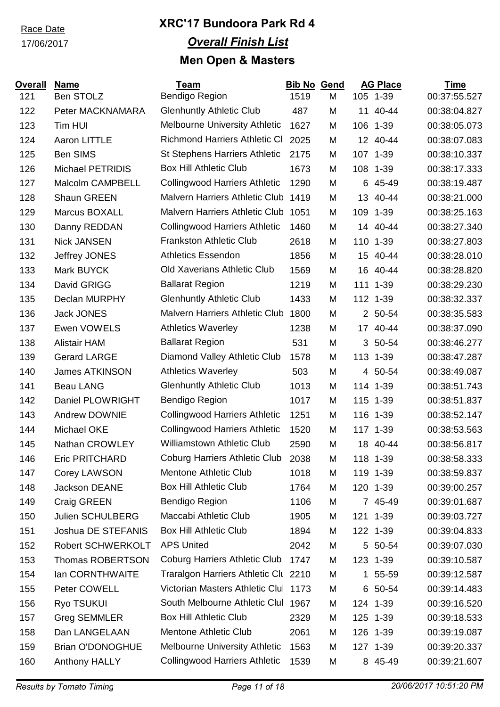### 17/06/2017

| <b>Overall</b> | <b>Name</b>              | <b>Team</b>                           | <b>Bib No Gend</b> |   |     | <b>AG Place</b> | <b>Time</b>  |
|----------------|--------------------------|---------------------------------------|--------------------|---|-----|-----------------|--------------|
| 121            | Ben STOLZ                | Bendigo Region                        | 1519               | M |     | 105 1-39        | 00:37:55.527 |
| 122            | Peter MACKNAMARA         | <b>Glenhuntly Athletic Club</b>       | 487                | M | 11  | 40-44           | 00:38:04.827 |
| 123            | Tim HUI                  | <b>Melbourne University Athletic</b>  | 1627               | M |     | 106 1-39        | 00:38:05.073 |
| 124            | <b>Aaron LITTLE</b>      | <b>Richmond Harriers Athletic CI</b>  | 2025               | M |     | 12 40-44        | 00:38:07.083 |
| 125            | <b>Ben SIMS</b>          | <b>St Stephens Harriers Athletic</b>  | 2175               | M |     | 107 1-39        | 00:38:10.337 |
| 126            | <b>Michael PETRIDIS</b>  | <b>Box Hill Athletic Club</b>         | 1673               | M | 108 | $1 - 39$        | 00:38:17.333 |
| 127            | <b>Malcolm CAMPBELL</b>  | <b>Collingwood Harriers Athletic</b>  | 1290               | M |     | 6 45-49         | 00:38:19.487 |
| 128            | <b>Shaun GREEN</b>       | Malvern Harriers Athletic Club        | 1419               | M | 13  | 40-44           | 00:38:21.000 |
| 129            | Marcus BOXALL            | <b>Malvern Harriers Athletic Club</b> | 1051               | M | 109 | $1 - 39$        | 00:38:25.163 |
| 130            | Danny REDDAN             | <b>Collingwood Harriers Athletic</b>  | 1460               | M |     | 14 40-44        | 00:38:27.340 |
| 131            | <b>Nick JANSEN</b>       | <b>Frankston Athletic Club</b>        | 2618               | M |     | 110 1-39        | 00:38:27.803 |
| 132            | Jeffrey JONES            | <b>Athletics Essendon</b>             | 1856               | M | 15  | 40-44           | 00:38:28.010 |
| 133            | Mark BUYCK               | <b>Old Xaverians Athletic Club</b>    | 1569               | M | 16  | 40-44           | 00:38:28.820 |
| 134            | David GRIGG              | <b>Ballarat Region</b>                | 1219               | M |     | 111 1-39        | 00:38:29.230 |
| 135            | Declan MURPHY            | <b>Glenhuntly Athletic Club</b>       | 1433               | M |     | 112 1-39        | 00:38:32.337 |
| 136            | <b>Jack JONES</b>        | <b>Malvern Harriers Athletic Club</b> | 1800               | M |     | 2 50-54         | 00:38:35.583 |
| 137            | Ewen VOWELS              | <b>Athletics Waverley</b>             | 1238               | M | 17  | 40-44           | 00:38:37.090 |
| 138            | <b>Alistair HAM</b>      | <b>Ballarat Region</b>                | 531                | M | 3   | 50-54           | 00:38:46.277 |
| 139            | <b>Gerard LARGE</b>      | Diamond Valley Athletic Club          | 1578               | M |     | 113 1-39        | 00:38:47.287 |
| 140            | <b>James ATKINSON</b>    | <b>Athletics Waverley</b>             | 503                | M |     | 4 50-54         | 00:38:49.087 |
| 141            | <b>Beau LANG</b>         | <b>Glenhuntly Athletic Club</b>       | 1013               | M |     | 114 1-39        | 00:38:51.743 |
| 142            | <b>Daniel PLOWRIGHT</b>  | Bendigo Region                        | 1017               | M | 115 | $1 - 39$        | 00:38:51.837 |
| 143            | <b>Andrew DOWNIE</b>     | <b>Collingwood Harriers Athletic</b>  | 1251               | M |     | 116 1-39        | 00:38:52.147 |
| 144            | Michael OKE              | <b>Collingwood Harriers Athletic</b>  | 1520               | M |     | 117 1-39        | 00:38:53.563 |
| 145            | <b>Nathan CROWLEY</b>    | <b>Williamstown Athletic Club</b>     | 2590               | M | 18  | 40-44           | 00:38:56.817 |
| 146            | <b>Eric PRITCHARD</b>    | <b>Coburg Harriers Athletic Club</b>  | 2038               | M |     | 118 1-39        | 00:38:58.333 |
| 147            | Corey LAWSON             | <b>Mentone Athletic Club</b>          | 1018               | M |     | 119 1-39        | 00:38:59.837 |
| 148            | <b>Jackson DEANE</b>     | <b>Box Hill Athletic Club</b>         | 1764               | M |     | 120 1-39        | 00:39:00.257 |
| 149            | Craig GREEN              | Bendigo Region                        | 1106               | M |     | 7 45-49         | 00:39:01.687 |
| 150            | Julien SCHULBERG         | Maccabi Athletic Club                 | 1905               | M |     | 121 1-39        | 00:39:03.727 |
| 151            | Joshua DE STEFANIS       | <b>Box Hill Athletic Club</b>         | 1894               | M |     | 122 1-39        | 00:39:04.833 |
| 152            | <b>Robert SCHWERKOLT</b> | <b>APS United</b>                     | 2042               | M |     | 5 50-54         | 00:39:07.030 |
| 153            | <b>Thomas ROBERTSON</b>  | <b>Coburg Harriers Athletic Club</b>  | 1747               | M |     | 123 1-39        | 00:39:10.587 |
| 154            | lan CORNTHWAITE          | Traralgon Harriers Athletic Clu 2210  |                    | M |     | 1 55-59         | 00:39:12.587 |
| 155            | Peter COWELL             | Victorian Masters Athletic Clul       | 1173               | M | 6   | 50-54           | 00:39:14.483 |
| 156            | Ryo TSUKUI               | South Melbourne Athletic Clul         | 1967               | M |     | 124 1-39        | 00:39:16.520 |
| 157            | <b>Greg SEMMLER</b>      | <b>Box Hill Athletic Club</b>         | 2329               | M |     | 125 1-39        | 00:39:18.533 |
| 158            | Dan LANGELAAN            | Mentone Athletic Club                 | 2061               | M |     | 126 1-39        | 00:39:19.087 |
| 159            | <b>Brian O'DONOGHUE</b>  | Melbourne University Athletic         | 1563               | M |     | 127 1-39        | 00:39:20.337 |
| 160            | Anthony HALLY            | <b>Collingwood Harriers Athletic</b>  | 1539               | M |     | 8 45-49         | 00:39:21.607 |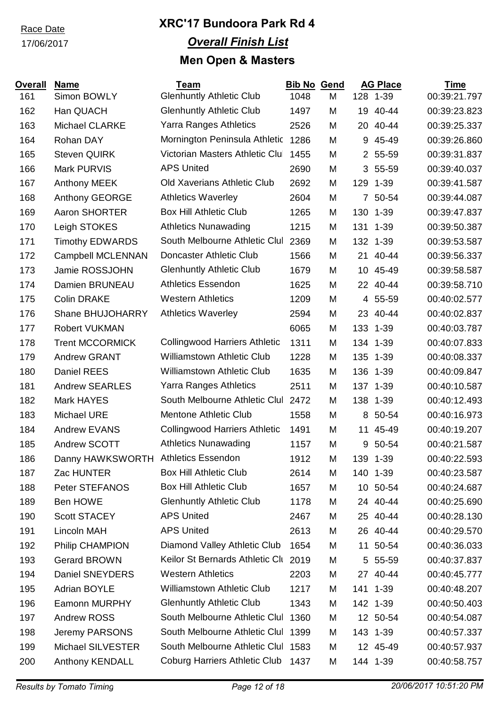### 17/06/2017

| <b>Overall</b> | <b>Name</b>                         | <b>Team</b>                          | <b>Bib No</b> | Gend |                 | <b>AG Place</b> | <b>Time</b>  |
|----------------|-------------------------------------|--------------------------------------|---------------|------|-----------------|-----------------|--------------|
| 161            | Simon BOWLY                         | <b>Glenhuntly Athletic Club</b>      | 1048          | M    |                 | 128 1-39        | 00:39:21.797 |
| 162            | Han QUACH                           | <b>Glenhuntly Athletic Club</b>      | 1497          | M    | 19              | 40-44           | 00:39:23.823 |
| 163            | <b>Michael CLARKE</b>               | <b>Yarra Ranges Athletics</b>        | 2526          | M    |                 | 20 40-44        | 00:39:25.337 |
| 164            | Rohan DAY                           | Mornington Peninsula Athletic        | 1286          | M    | 9               | 45-49           | 00:39:26.860 |
| 165            | <b>Steven QUIRK</b>                 | Victorian Masters Athletic Clul      | 1455          | M    |                 | 2 55-59         | 00:39:31.837 |
| 166            | <b>Mark PURVIS</b>                  | <b>APS United</b>                    | 2690          | M    |                 | 3 55-59         | 00:39:40.037 |
| 167            | <b>Anthony MEEK</b>                 | <b>Old Xaverians Athletic Club</b>   | 2692          | M    | 129             | $1 - 39$        | 00:39:41.587 |
| 168            | Anthony GEORGE                      | <b>Athletics Waverley</b>            | 2604          | M    |                 | 7 50-54         | 00:39:44.087 |
| 169            | Aaron SHORTER                       | <b>Box Hill Athletic Club</b>        | 1265          | M    |                 | 130 1-39        | 00:39:47.837 |
| 170            | Leigh STOKES                        | <b>Athletics Nunawading</b>          | 1215          | M    |                 | 131 1-39        | 00:39:50.387 |
| 171            | <b>Timothy EDWARDS</b>              | South Melbourne Athletic Clul        | 2369          | M    |                 | 132 1-39        | 00:39:53.587 |
| 172            | <b>Campbell MCLENNAN</b>            | Doncaster Athletic Club              | 1566          | M    |                 | 21 40-44        | 00:39:56.337 |
| 173            | Jamie ROSSJOHN                      | <b>Glenhuntly Athletic Club</b>      | 1679          | M    | 10 <sup>1</sup> | 45-49           | 00:39:58.587 |
| 174            | Damien BRUNEAU                      | <b>Athletics Essendon</b>            | 1625          | M    | 22              | 40-44           | 00:39:58.710 |
| 175            | <b>Colin DRAKE</b>                  | <b>Western Athletics</b>             | 1209          | M    |                 | 4 55-59         | 00:40:02.577 |
| 176            | Shane BHUJOHARRY                    | <b>Athletics Waverley</b>            | 2594          | M    | 23              | 40-44           | 00:40:02.837 |
| 177            | <b>Robert VUKMAN</b>                |                                      | 6065          | M    |                 | 133 1-39        | 00:40:03.787 |
| 178            | <b>Trent MCCORMICK</b>              | <b>Collingwood Harriers Athletic</b> | 1311          | M    |                 | 134 1-39        | 00:40:07.833 |
| 179            | <b>Andrew GRANT</b>                 | <b>Williamstown Athletic Club</b>    | 1228          | M    |                 | 135 1-39        | 00:40:08.337 |
| 180            | <b>Daniel REES</b>                  | <b>Williamstown Athletic Club</b>    | 1635          | M    | 136             | $1 - 39$        | 00:40:09.847 |
| 181            | <b>Andrew SEARLES</b>               | Yarra Ranges Athletics               | 2511          | M    |                 | 137 1-39        | 00:40:10.587 |
| 182            | <b>Mark HAYES</b>                   | South Melbourne Athletic Clul        | 2472          | M    |                 | 138 1-39        | 00:40:12.493 |
| 183            | <b>Michael URE</b>                  | <b>Mentone Athletic Club</b>         | 1558          | M    |                 | 8 50-54         | 00:40:16.973 |
| 184            | <b>Andrew EVANS</b>                 | <b>Collingwood Harriers Athletic</b> | 1491          | M    |                 | 11 45-49        | 00:40:19.207 |
| 185            | Andrew SCOTT                        | <b>Athletics Nunawading</b>          | 1157          | M    |                 | 9 50-54         | 00:40:21.587 |
| 186            | Danny HAWKSWORTH Athletics Essendon |                                      | 1912          | M    | 139             | $1 - 39$        | 00:40:22.593 |
| 187            | Zac HUNTER                          | <b>Box Hill Athletic Club</b>        | 2614          | M    |                 | 140 1-39        | 00:40:23.587 |
| 188            | Peter STEFANOS                      | <b>Box Hill Athletic Club</b>        | 1657          | M    |                 | 10 50-54        | 00:40:24.687 |
| 189            | Ben HOWE                            | <b>Glenhuntly Athletic Club</b>      | 1178          | M    |                 | 24 40-44        | 00:40:25.690 |
| 190            | <b>Scott STACEY</b>                 | <b>APS United</b>                    | 2467          | M    | 25              | 40-44           | 00:40:28.130 |
| 191            | <b>Lincoln MAH</b>                  | <b>APS United</b>                    | 2613          | M    |                 | 26 40-44        | 00:40:29.570 |
| 192            | <b>Philip CHAMPION</b>              | Diamond Valley Athletic Club         | 1654          | M    |                 | 11 50-54        | 00:40:36.033 |
| 193            | <b>Gerard BROWN</b>                 | Keilor St Bernards Athletic Clu      | 2019          | M    | 5               | 55-59           | 00:40:37.837 |
| 194            | <b>Daniel SNEYDERS</b>              | <b>Western Athletics</b>             | 2203          | M    |                 | 27 40-44        | 00:40:45.777 |
| 195            | <b>Adrian BOYLE</b>                 | <b>Williamstown Athletic Club</b>    | 1217          | M    |                 | 141 1-39        | 00:40:48.207 |
| 196            | Eamonn MURPHY                       | <b>Glenhuntly Athletic Club</b>      | 1343          | M    |                 | 142 1-39        | 00:40:50.403 |
| 197            | <b>Andrew ROSS</b>                  | South Melbourne Athletic Clul        | 1360          | M    |                 | 12 50-54        | 00:40:54.087 |
| 198            | Jeremy PARSONS                      | South Melbourne Athletic Clul 1399   |               | M    |                 | 143 1-39        | 00:40:57.337 |
| 199            | Michael SILVESTER                   | South Melbourne Athletic Clul 1583   |               | M    |                 | 12 45-49        | 00:40:57.937 |
| 200            | <b>Anthony KENDALL</b>              | <b>Coburg Harriers Athletic Club</b> | 1437          | M    |                 | 144 1-39        | 00:40:58.757 |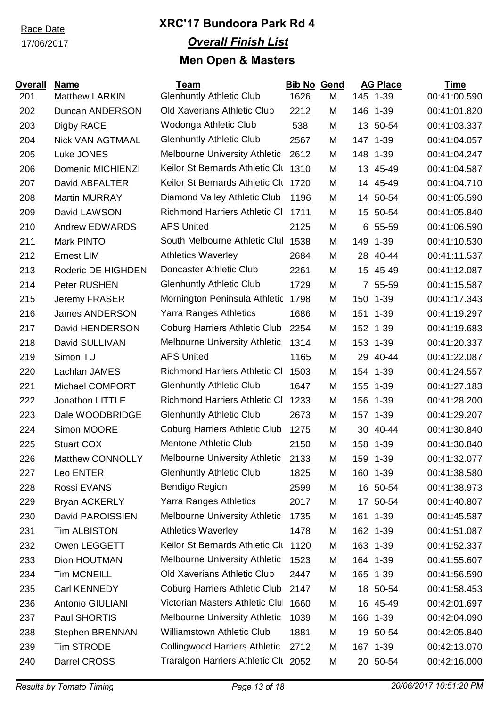17/06/2017

| <b>Overall</b> | <b>Name</b>             | Team                                 | <b>Bib No Gend</b> |   |                 | <b>AG Place</b> | <b>Time</b>  |
|----------------|-------------------------|--------------------------------------|--------------------|---|-----------------|-----------------|--------------|
| 201            | <b>Matthew LARKIN</b>   | <b>Glenhuntly Athletic Club</b>      | 1626               | M |                 | 145 1-39        | 00:41:00.590 |
| 202            | <b>Duncan ANDERSON</b>  | <b>Old Xaverians Athletic Club</b>   | 2212               | M |                 | 146 1-39        | 00:41:01.820 |
| 203            | Digby RACE              | Wodonga Athletic Club                | 538                | M |                 | 13 50-54        | 00:41:03.337 |
| 204            | <b>Nick VAN AGTMAAL</b> | <b>Glenhuntly Athletic Club</b>      | 2567               | M |                 | 147 1-39        | 00:41:04.057 |
| 205            | Luke JONES              | <b>Melbourne University Athletic</b> | 2612               | M |                 | 148 1-39        | 00:41:04.247 |
| 206            | Domenic MICHIENZI       | Keilor St Bernards Athletic Clu      | 1310               | M | 13 <sup>°</sup> | 45-49           | 00:41:04.587 |
| 207            | David ABFALTER          | Keilor St Bernards Athletic Clu      | 1720               | M | 14              | 45-49           | 00:41:04.710 |
| 208            | <b>Martin MURRAY</b>    | Diamond Valley Athletic Club         | 1196               | M |                 | 14 50-54        | 00:41:05.590 |
| 209            | David LAWSON            | <b>Richmond Harriers Athletic CI</b> | 1711               | M | 15              | 50-54           | 00:41:05.840 |
| 210            | <b>Andrew EDWARDS</b>   | <b>APS United</b>                    | 2125               | M | 6               | 55-59           | 00:41:06.590 |
| 211            | Mark PINTO              | South Melbourne Athletic Clul        | 1538               | M |                 | 149 1-39        | 00:41:10.530 |
| 212            | <b>Ernest LIM</b>       | <b>Athletics Waverley</b>            | 2684               | M |                 | 28 40-44        | 00:41:11.537 |
| 213            | Roderic DE HIGHDEN      | Doncaster Athletic Club              | 2261               | M | 15              | 45-49           | 00:41:12.087 |
| 214            | Peter RUSHEN            | <b>Glenhuntly Athletic Club</b>      | 1729               | M |                 | 7 55-59         | 00:41:15.587 |
| 215            | Jeremy FRASER           | Mornington Peninsula Athletic        | 1798               | M | 150             | $1 - 39$        | 00:41:17.343 |
| 216            | <b>James ANDERSON</b>   | <b>Yarra Ranges Athletics</b>        | 1686               | M | 151             | $1 - 39$        | 00:41:19.297 |
| 217            | David HENDERSON         | <b>Coburg Harriers Athletic Club</b> | 2254               | M |                 | 152 1-39        | 00:41:19.683 |
| 218            | David SULLIVAN          | <b>Melbourne University Athletic</b> | 1314               | M |                 | 153 1-39        | 00:41:20.337 |
| 219            | Simon TU                | <b>APS United</b>                    | 1165               | M | 29              | 40-44           | 00:41:22.087 |
| 220            | Lachlan JAMES           | <b>Richmond Harriers Athletic CI</b> | 1503               | M |                 | 154 1-39        | 00:41:24.557 |
| 221            | Michael COMPORT         | <b>Glenhuntly Athletic Club</b>      | 1647               | M |                 | 155 1-39        | 00:41:27.183 |
| 222            | Jonathon LITTLE         | <b>Richmond Harriers Athletic CI</b> | 1233               | M | 156             | $1 - 39$        | 00:41:28.200 |
| 223            | Dale WOODBRIDGE         | <b>Glenhuntly Athletic Club</b>      | 2673               | M |                 | 157 1-39        | 00:41:29.207 |
| 224            | Simon MOORE             | <b>Coburg Harriers Athletic Club</b> | 1275               | M |                 | 30 40-44        | 00:41:30.840 |
| 225            | <b>Stuart COX</b>       | <b>Mentone Athletic Club</b>         | 2150               | M |                 | 158 1-39        | 00:41:30.840 |
| 226            | Matthew CONNOLLY        | <b>Melbourne University Athletic</b> | 2133               | M |                 | 159 1-39        | 00:41:32.077 |
| 227            | Leo ENTER               | <b>Glenhuntly Athletic Club</b>      | 1825               | M |                 | 160 1-39        | 00:41:38.580 |
| 228            | Rossi EVANS             | Bendigo Region                       | 2599               | M |                 | 16 50-54        | 00:41:38.973 |
| 229            | <b>Bryan ACKERLY</b>    | <b>Yarra Ranges Athletics</b>        | 2017               | M |                 | 17 50-54        | 00:41:40.807 |
| 230            | David PAROISSIEN        | <b>Melbourne University Athletic</b> | 1735               | M | 161             | $1 - 39$        | 00:41:45.587 |
| 231            | <b>Tim ALBISTON</b>     | <b>Athletics Waverley</b>            | 1478               | M |                 | 162 1-39        | 00:41:51.087 |
| 232            | Owen LEGGETT            | Keilor St Bernards Athletic Clu      | 1120               | M |                 | 163 1-39        | 00:41:52.337 |
| 233            | Dion HOUTMAN            | <b>Melbourne University Athletic</b> | 1523               | M |                 | 164 1-39        | 00:41:55.607 |
| 234            | <b>Tim MCNEILL</b>      | Old Xaverians Athletic Club          | 2447               | M |                 | 165 1-39        | 00:41:56.590 |
| 235            | Carl KENNEDY            | <b>Coburg Harriers Athletic Club</b> | 2147               | M |                 | 18 50-54        | 00:41:58.453 |
| 236            | Antonio GIULIANI        | Victorian Masters Athletic Clul      | 1660               | M |                 | 16 45-49        | 00:42:01.697 |
| 237            | Paul SHORTIS            | <b>Melbourne University Athletic</b> | 1039               | M | 166             | $1 - 39$        | 00:42:04.090 |
| 238            | <b>Stephen BRENNAN</b>  | <b>Williamstown Athletic Club</b>    | 1881               | M | 19              | 50-54           | 00:42:05.840 |
| 239            | <b>Tim STRODE</b>       | <b>Collingwood Harriers Athletic</b> | 2712               | M |                 | 167 1-39        | 00:42:13.070 |
| 240            | Darrel CROSS            | Traralgon Harriers Athletic Clu 2052 |                    | M |                 | 20 50-54        | 00:42:16.000 |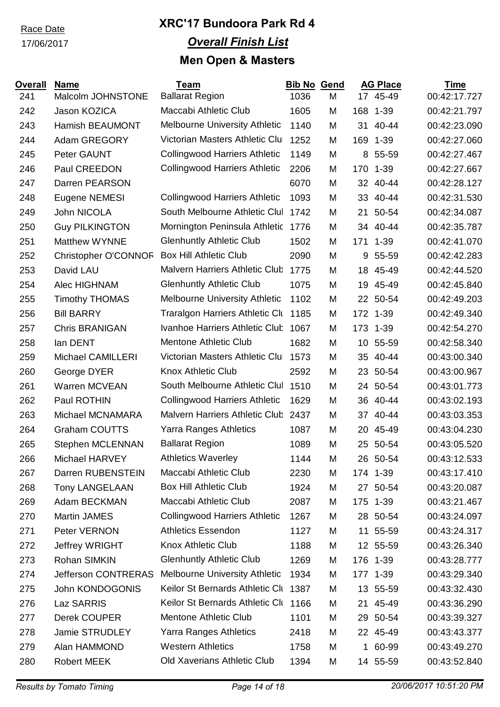#### 17/06/2017

| <b>Overall</b> | <b>Name</b>                 | <b>Team</b>                            | <b>Bib No</b> | <b>Gend</b> |     | <b>AG Place</b> | <b>Time</b>  |
|----------------|-----------------------------|----------------------------------------|---------------|-------------|-----|-----------------|--------------|
| 241            | Malcolm JOHNSTONE           | <b>Ballarat Region</b>                 | 1036          | M           |     | 17 45-49        | 00:42:17.727 |
| 242            | Jason KOZICA                | Maccabi Athletic Club                  | 1605          | M           | 168 | $1 - 39$        | 00:42:21.797 |
| 243            | <b>Hamish BEAUMONT</b>      | <b>Melbourne University Athletic</b>   | 1140          | M           | 31  | 40-44           | 00:42:23.090 |
| 244            | Adam GREGORY                | Victorian Masters Athletic Clul        | 1252          | M           | 169 | $1 - 39$        | 00:42:27.060 |
| 245            | Peter GAUNT                 | <b>Collingwood Harriers Athletic</b>   | 1149          | M           | 8   | 55-59           | 00:42:27.467 |
| 246            | Paul CREEDON                | <b>Collingwood Harriers Athletic</b>   | 2206          | M           | 170 | $1 - 39$        | 00:42:27.667 |
| 247            | Darren PEARSON              |                                        | 6070          | M           | 32  | 40-44           | 00:42:28.127 |
| 248            | Eugene NEMESI               | <b>Collingwood Harriers Athletic</b>   | 1093          | M           |     | 33 40-44        | 00:42:31.530 |
| 249            | John NICOLA                 | South Melbourne Athletic Clul          | 1742          | M           | 21  | 50-54           | 00:42:34.087 |
| 250            | <b>Guy PILKINGTON</b>       | Mornington Peninsula Athletic          | 1776          | M           |     | 34 40-44        | 00:42:35.787 |
| 251            | <b>Matthew WYNNE</b>        | <b>Glenhuntly Athletic Club</b>        | 1502          | M           | 171 | $1 - 39$        | 00:42:41.070 |
| 252            | <b>Christopher O'CONNOR</b> | <b>Box Hill Athletic Club</b>          | 2090          | M           | 9   | 55-59           | 00:42:42.283 |
| 253            | David LAU                   | Malvern Harriers Athletic Club         | 1775          | M           | 18  | 45-49           | 00:42:44.520 |
| 254            | Alec HIGHNAM                | <b>Glenhuntly Athletic Club</b>        | 1075          | M           | 19  | 45-49           | 00:42:45.840 |
| 255            | <b>Timothy THOMAS</b>       | <b>Melbourne University Athletic</b>   | 1102          | M           |     | 22 50-54        | 00:42:49.203 |
| 256            | <b>Bill BARRY</b>           | <b>Traralgon Harriers Athletic Clu</b> | 1185          | M           |     | 172 1-39        | 00:42:49.340 |
| 257            | <b>Chris BRANIGAN</b>       | Ivanhoe Harriers Athletic Club         | 1067          | M           |     | 173 1-39        | 00:42:54.270 |
| 258            | lan DENT                    | <b>Mentone Athletic Club</b>           | 1682          | M           | 10  | 55-59           | 00:42:58.340 |
| 259            | <b>Michael CAMILLERI</b>    | Victorian Masters Athletic Clul        | 1573          | M           |     | 35 40-44        | 00:43:00.340 |
| 260            | George DYER                 | <b>Knox Athletic Club</b>              | 2592          | M           |     | 23 50-54        | 00:43:00.967 |
| 261            | <b>Warren MCVEAN</b>        | South Melbourne Athletic Clul          | 1510          | M           |     | 24 50-54        | 00:43:01.773 |
| 262            | Paul ROTHIN                 | <b>Collingwood Harriers Athletic</b>   | 1629          | M           | 36  | 40-44           | 00:43:02.193 |
| 263            | Michael MCNAMARA            | <b>Malvern Harriers Athletic Club</b>  | 2437          | M           | 37  | 40-44           | 00:43:03.353 |
| 264            | <b>Graham COUTTS</b>        | <b>Yarra Ranges Athletics</b>          | 1087          | M           |     | 20 45-49        | 00:43:04.230 |
| 265            | Stephen MCLENNAN            | <b>Ballarat Region</b>                 | 1089          | M           |     | 25 50-54        | 00:43:05.520 |
| 266            | Michael HARVEY              | <b>Athletics Waverley</b>              | 1144          | M           |     | 26 50-54        | 00:43:12.533 |
| 267            | Darren RUBENSTEIN           | Maccabi Athletic Club                  | 2230          | M           |     | 174 1-39        | 00:43:17.410 |
| 268            | <b>Tony LANGELAAN</b>       | <b>Box Hill Athletic Club</b>          | 1924          | M           |     | 27 50-54        | 00:43:20.087 |
| 269            | Adam BECKMAN                | Maccabi Athletic Club                  | 2087          | M           | 175 | $1 - 39$        | 00:43:21.467 |
| 270            | Martin JAMES                | <b>Collingwood Harriers Athletic</b>   | 1267          | M           |     | 28 50-54        | 00:43:24.097 |
| 271            | Peter VERNON                | <b>Athletics Essendon</b>              | 1127          | M           | 11  | 55-59           | 00:43:24.317 |
| 272            | Jeffrey WRIGHT              | Knox Athletic Club                     | 1188          | M           |     | 12 55-59        | 00:43:26.340 |
| 273            | Rohan SIMKIN                | <b>Glenhuntly Athletic Club</b>        | 1269          | M           |     | 176 1-39        | 00:43:28.777 |
| 274            | <b>Jefferson CONTRERAS</b>  | <b>Melbourne University Athletic</b>   | 1934          | M           |     | 177 1-39        | 00:43:29.340 |
| 275            | John KONDOGONIS             | Keilor St Bernards Athletic Clu        | 1387          | M           |     | 13 55-59        | 00:43:32.430 |
| 276            | Laz SARRIS                  | Keilor St Bernards Athletic Clu        | 1166          | M           | 21  | 45-49           | 00:43:36.290 |
| 277            | Derek COUPER                | <b>Mentone Athletic Club</b>           | 1101          | M           | 29  | 50-54           | 00:43:39.327 |
| 278            | Jamie STRUDLEY              | Yarra Ranges Athletics                 | 2418          | M           |     | 22 45-49        | 00:43:43.377 |
| 279            | Alan HAMMOND                | <b>Western Athletics</b>               | 1758          | M           |     | 1 60-99         | 00:43:49.270 |
| 280            | <b>Robert MEEK</b>          | Old Xaverians Athletic Club            | 1394          | M           |     | 14 55-59        | 00:43:52.840 |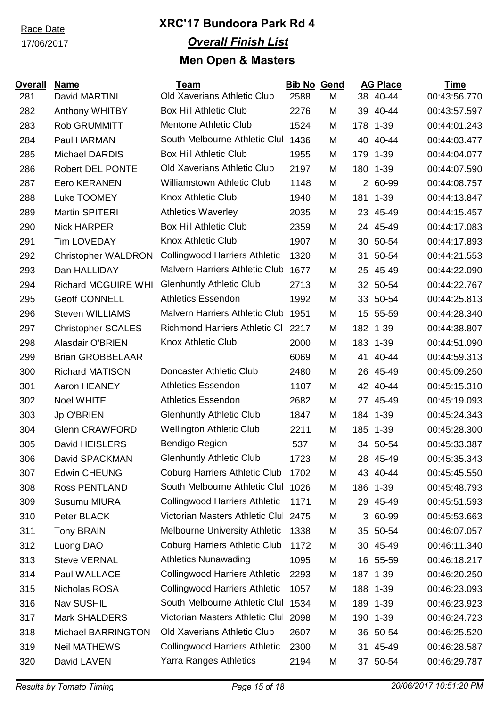17/06/2017

| <b>Overall</b> | <b>Name</b>                | Team                                  | <b>Bib No</b> | Gend |     | <b>AG Place</b> | <b>Time</b>  |
|----------------|----------------------------|---------------------------------------|---------------|------|-----|-----------------|--------------|
| 281            | David MARTINI              | Old Xaverians Athletic Club           | 2588          | M    |     | 38 40-44        | 00:43:56.770 |
| 282            | Anthony WHITBY             | <b>Box Hill Athletic Club</b>         | 2276          | M    | 39  | 40-44           | 00:43:57.597 |
| 283            | <b>Rob GRUMMITT</b>        | <b>Mentone Athletic Club</b>          | 1524          | M    |     | 178 1-39        | 00:44:01.243 |
| 284            | Paul HARMAN                | South Melbourne Athletic Clul         | 1436          | M    | 40  | 40-44           | 00:44:03.477 |
| 285            | <b>Michael DARDIS</b>      | <b>Box Hill Athletic Club</b>         | 1955          | M    | 179 | $1 - 39$        | 00:44:04.077 |
| 286            | <b>Robert DEL PONTE</b>    | <b>Old Xaverians Athletic Club</b>    | 2197          | M    |     | 180 1-39        | 00:44:07.590 |
| 287            | <b>Eero KERANEN</b>        | <b>Williamstown Athletic Club</b>     | 1148          | M    |     | 2 60-99         | 00:44:08.757 |
| 288            | Luke TOOMEY                | <b>Knox Athletic Club</b>             | 1940          | M    |     | 181 1-39        | 00:44:13.847 |
| 289            | Martin SPITERI             | <b>Athletics Waverley</b>             | 2035          | M    |     | 23 45-49        | 00:44:15.457 |
| 290            | <b>Nick HARPER</b>         | <b>Box Hill Athletic Club</b>         | 2359          | M    |     | 24 45-49        | 00:44:17.083 |
| 291            | <b>Tim LOVEDAY</b>         | <b>Knox Athletic Club</b>             | 1907          | M    |     | 30 50-54        | 00:44:17.893 |
| 292            | <b>Christopher WALDRON</b> | <b>Collingwood Harriers Athletic</b>  | 1320          | M    | 31  | 50-54           | 00:44:21.553 |
| 293            | Dan HALLIDAY               | <b>Malvern Harriers Athletic Club</b> | 1677          | M    | 25  | 45-49           | 00:44:22.090 |
| 294            | <b>Richard MCGUIRE WHI</b> | <b>Glenhuntly Athletic Club</b>       | 2713          | M    |     | 32 50-54        | 00:44:22.767 |
| 295            | <b>Geoff CONNELL</b>       | <b>Athletics Essendon</b>             | 1992          | M    |     | 33 50-54        | 00:44:25.813 |
| 296            | <b>Steven WILLIAMS</b>     | Malvern Harriers Athletic Club        | 1951          | M    | 15  | 55-59           | 00:44:28.340 |
| 297            | <b>Christopher SCALES</b>  | <b>Richmond Harriers Athletic CI</b>  | 2217          | M    |     | 182 1-39        | 00:44:38.807 |
| 298            | <b>Alasdair O'BRIEN</b>    | <b>Knox Athletic Club</b>             | 2000          | M    |     | 183 1-39        | 00:44:51.090 |
| 299            | <b>Brian GROBBELAAR</b>    |                                       | 6069          | M    |     | 41 40-44        | 00:44:59.313 |
| 300            | <b>Richard MATISON</b>     | Doncaster Athletic Club               | 2480          | M    |     | 26 45-49        | 00:45:09.250 |
| 301            | Aaron HEANEY               | <b>Athletics Essendon</b>             | 1107          | M    |     | 42 40-44        | 00:45:15.310 |
| 302            | <b>Noel WHITE</b>          | <b>Athletics Essendon</b>             | 2682          | M    |     | 27 45-49        | 00:45:19.093 |
| 303            | Jp O'BRIEN                 | <b>Glenhuntly Athletic Club</b>       | 1847          | M    |     | 184 1-39        | 00:45:24.343 |
| 304            | <b>Glenn CRAWFORD</b>      | <b>Wellington Athletic Club</b>       | 2211          | M    |     | 185 1-39        | 00:45:28.300 |
| 305            | David HEISLERS             | Bendigo Region                        | 537           | M    |     | 34 50-54        | 00:45:33.387 |
| 306            | David SPACKMAN             | <b>Glenhuntly Athletic Club</b>       | 1723          | M    | 28  | 45-49           | 00:45:35.343 |
| 307            | <b>Edwin CHEUNG</b>        | <b>Coburg Harriers Athletic Club</b>  | 1702          | M    |     | 43 40-44        | 00:45:45.550 |
| 308            | <b>Ross PENTLAND</b>       | South Melbourne Athletic Clul         | 1026          | M    | 186 | $1 - 39$        | 00:45:48.793 |
| 309            | <b>Susumu MIURA</b>        | <b>Collingwood Harriers Athletic</b>  | 1171          | M    |     | 29 45-49        | 00:45:51.593 |
| 310            | Peter BLACK                | Victorian Masters Athletic Clul       | 2475          | M    |     | 3 60-99         | 00:45:53.663 |
| 311            | <b>Tony BRAIN</b>          | <b>Melbourne University Athletic</b>  | 1338          | M    | 35  | 50-54           | 00:46:07.057 |
| 312            | Luong DAO                  | <b>Coburg Harriers Athletic Club</b>  | 1172          | M    |     | 30 45-49        | 00:46:11.340 |
| 313            | <b>Steve VERNAL</b>        | <b>Athletics Nunawading</b>           | 1095          | M    | 16  | 55-59           | 00:46:18.217 |
| 314            | Paul WALLACE               | <b>Collingwood Harriers Athletic</b>  | 2293          | M    |     | 187 1-39        | 00:46:20.250 |
| 315            | Nicholas ROSA              | <b>Collingwood Harriers Athletic</b>  | 1057          | M    |     | 188 1-39        | 00:46:23.093 |
| 316            | Nav SUSHIL                 | South Melbourne Athletic Clul         | 1534          | M    |     | 189 1-39        | 00:46:23.923 |
| 317            | <b>Mark SHALDERS</b>       | Victorian Masters Athletic Clul       | 2098          | M    |     | 190 1-39        | 00:46:24.723 |
| 318            | <b>Michael BARRINGTON</b>  | Old Xaverians Athletic Club           | 2607          | M    |     | 36 50-54        | 00:46:25.520 |
| 319            | <b>Neil MATHEWS</b>        | <b>Collingwood Harriers Athletic</b>  | 2300          | M    | 31  | 45-49           | 00:46:28.587 |
| 320            | David LAVEN                | <b>Yarra Ranges Athletics</b>         | 2194          | M    | 37  | 50-54           | 00:46:29.787 |
|                |                            |                                       |               |      |     |                 |              |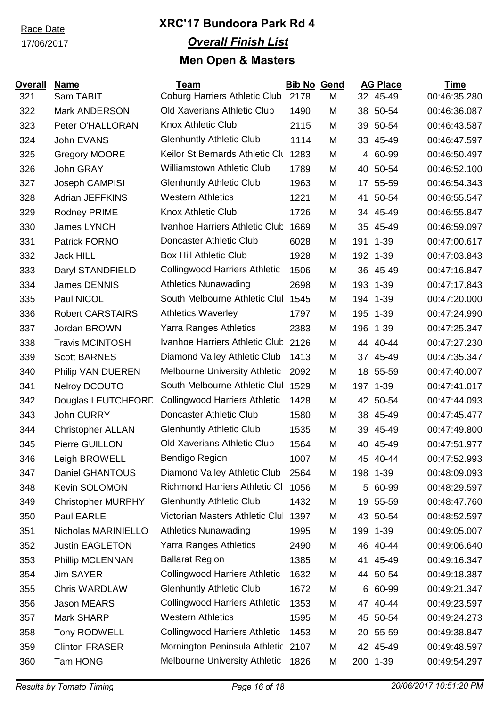17/06/2017

| <b>Overall</b> | <b>Name</b>               | <b>Team</b>                          | <b>Bib No Gend</b> |   |     | <b>AG Place</b> | <b>Time</b>  |
|----------------|---------------------------|--------------------------------------|--------------------|---|-----|-----------------|--------------|
| 321            | Sam TABIT                 | <b>Coburg Harriers Athletic Club</b> | 2178               | M |     | 32 45-49        | 00:46:35.280 |
| 322            | <b>Mark ANDERSON</b>      | <b>Old Xaverians Athletic Club</b>   | 1490               | M |     | 38 50-54        | 00:46:36.087 |
| 323            | Peter O'HALLORAN          | <b>Knox Athletic Club</b>            | 2115               | M |     | 39 50-54        | 00:46:43.587 |
| 324            | John EVANS                | <b>Glenhuntly Athletic Club</b>      | 1114               | M |     | 33 45-49        | 00:46:47.597 |
| 325            | <b>Gregory MOORE</b>      | Keilor St Bernards Athletic Clu      | 1283               | M |     | 4 60-99         | 00:46:50.497 |
| 326            | John GRAY                 | <b>Williamstown Athletic Club</b>    | 1789               | M | 40  | 50-54           | 00:46:52.100 |
| 327            | Joseph CAMPISI            | <b>Glenhuntly Athletic Club</b>      | 1963               | M | 17  | 55-59           | 00:46:54.343 |
| 328            | <b>Adrian JEFFKINS</b>    | <b>Western Athletics</b>             | 1221               | M | 41  | 50-54           | 00:46:55.547 |
| 329            | Rodney PRIME              | <b>Knox Athletic Club</b>            | 1726               | M |     | 34 45-49        | 00:46:55.847 |
| 330            | James LYNCH               | Ivanhoe Harriers Athletic Club       | 1669               | M |     | 35 45-49        | 00:46:59.097 |
| 331            | Patrick FORNO             | Doncaster Athletic Club              | 6028               | M |     | 191 1-39        | 00:47:00.617 |
| 332            | <b>Jack HILL</b>          | <b>Box Hill Athletic Club</b>        | 1928               | M |     | 192 1-39        | 00:47:03.843 |
| 333            | Daryl STANDFIELD          | <b>Collingwood Harriers Athletic</b> | 1506               | M |     | 36 45-49        | 00:47:16.847 |
| 334            | James DENNIS              | <b>Athletics Nunawading</b>          | 2698               | M | 193 | $1 - 39$        | 00:47:17.843 |
| 335            | Paul NICOL                | South Melbourne Athletic Clul        | 1545               | M |     | 194 1-39        | 00:47:20.000 |
| 336            | <b>Robert CARSTAIRS</b>   | <b>Athletics Waverley</b>            | 1797               | M | 195 | $1 - 39$        | 00:47:24.990 |
| 337            | Jordan BROWN              | <b>Yarra Ranges Athletics</b>        | 2383               | M | 196 | $1 - 39$        | 00:47:25.347 |
| 338            | <b>Travis MCINTOSH</b>    | Ivanhoe Harriers Athletic Club       | 2126               | M |     | 44 40-44        | 00:47:27.230 |
| 339            | <b>Scott BARNES</b>       | Diamond Valley Athletic Club         | 1413               | M |     | 37 45-49        | 00:47:35.347 |
| 340            | Philip VAN DUEREN         | Melbourne University Athletic        | 2092               | M | 18  | 55-59           | 00:47:40.007 |
| 341            | <b>Nelroy DCOUTO</b>      | South Melbourne Athletic Clul        | 1529               | M |     | 197 1-39        | 00:47:41.017 |
| 342            | Douglas LEUTCHFORD        | <b>Collingwood Harriers Athletic</b> | 1428               | M |     | 42 50-54        | 00:47:44.093 |
| 343            | John CURRY                | Doncaster Athletic Club              | 1580               | M |     | 38 45-49        | 00:47:45.477 |
| 344            | <b>Christopher ALLAN</b>  | <b>Glenhuntly Athletic Club</b>      | 1535               | M | 39  | 45-49           | 00:47:49.800 |
| 345            | Pierre GUILLON            | <b>Old Xaverians Athletic Club</b>   | 1564               | M | 40  | 45-49           | 00:47:51.977 |
| 346            | Leigh BROWELL             | Bendigo Region                       | 1007               | M | 45  | 40-44           | 00:47:52.993 |
| 347            | Daniel GHANTOUS           | Diamond Valley Athletic Club         | 2564               | M |     | 198 1-39        | 00:48:09.093 |
| 348            | Kevin SOLOMON             | <b>Richmond Harriers Athletic CI</b> | 1056               | M | 5   | 60-99           | 00:48:29.597 |
| 349            | <b>Christopher MURPHY</b> | <b>Glenhuntly Athletic Club</b>      | 1432               | M |     | 19 55-59        | 00:48:47.760 |
| 350            | Paul EARLE                | Victorian Masters Athletic Clul      | 1397               | M |     | 43 50-54        | 00:48:52.597 |
| 351            | Nicholas MARINIELLO       | <b>Athletics Nunawading</b>          | 1995               | M | 199 | $1 - 39$        | 00:49:05.007 |
| 352            | <b>Justin EAGLETON</b>    | Yarra Ranges Athletics               | 2490               | M |     | 46 40-44        | 00:49:06.640 |
| 353            | Phillip MCLENNAN          | <b>Ballarat Region</b>               | 1385               | M | 41  | 45-49           | 00:49:16.347 |
| 354            | <b>Jim SAYER</b>          | <b>Collingwood Harriers Athletic</b> | 1632               | M |     | 44 50-54        | 00:49:18.387 |
| 355            | <b>Chris WARDLAW</b>      | <b>Glenhuntly Athletic Club</b>      | 1672               | M | 6   | 60-99           | 00:49:21.347 |
| 356            | <b>Jason MEARS</b>        | <b>Collingwood Harriers Athletic</b> | 1353               | M |     | 47 40-44        | 00:49:23.597 |
| 357            | Mark SHARP                | <b>Western Athletics</b>             | 1595               | M |     | 45 50-54        | 00:49:24.273 |
| 358            | Tony RODWELL              | <b>Collingwood Harriers Athletic</b> | 1453               | M |     | 20 55-59        | 00:49:38.847 |
| 359            | <b>Clinton FRASER</b>     | Mornington Peninsula Athletic 2107   |                    | M |     | 42 45-49        | 00:49:48.597 |
| 360            | Tam HONG                  | Melbourne University Athletic        | 1826               | M |     | 200 1-39        | 00:49:54.297 |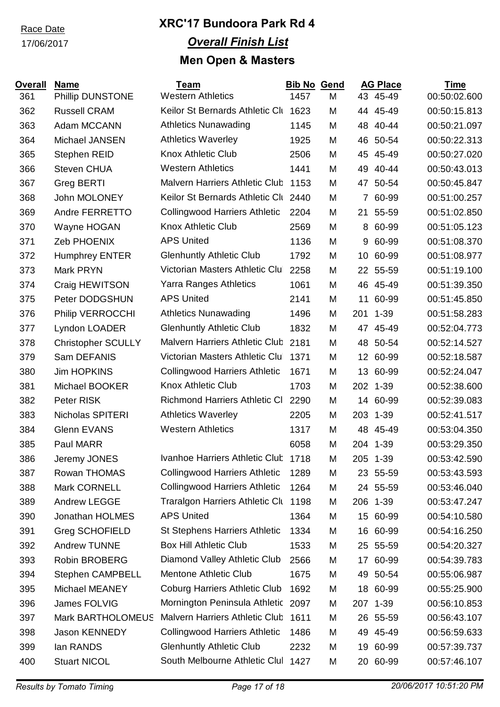### 17/06/2017

| <b>Overall</b> | <b>Name</b>               | Team                                  | <b>Bib No Gend</b> |   |                 | <b>AG Place</b> | Time         |
|----------------|---------------------------|---------------------------------------|--------------------|---|-----------------|-----------------|--------------|
| 361            | <b>Phillip DUNSTONE</b>   | <b>Western Athletics</b>              | 1457               | M |                 | 43 45-49        | 00:50:02.600 |
| 362            | <b>Russell CRAM</b>       | Keilor St Bernards Athletic Clu       | 1623               | M |                 | 44 45-49        | 00:50:15.813 |
| 363            | Adam MCCANN               | <b>Athletics Nunawading</b>           | 1145               | M | 48              | 40-44           | 00:50:21.097 |
| 364            | Michael JANSEN            | <b>Athletics Waverley</b>             | 1925               | M | 46              | 50-54           | 00:50:22.313 |
| 365            | <b>Stephen REID</b>       | <b>Knox Athletic Club</b>             | 2506               | M | 45              | 45-49           | 00:50:27.020 |
| 366            | <b>Steven CHUA</b>        | <b>Western Athletics</b>              | 1441               | M | 49              | 40-44           | 00:50:43.013 |
| 367            | <b>Greg BERTI</b>         | <b>Malvern Harriers Athletic Club</b> | 1153               | M | 47              | 50-54           | 00:50:45.847 |
| 368            | John MOLONEY              | Keilor St Bernards Athletic Clu 2440  |                    | M |                 | 7 60-99         | 00:51:00.257 |
| 369            | Andre FERRETTO            | <b>Collingwood Harriers Athletic</b>  | 2204               | M | 21              | 55-59           | 00:51:02.850 |
| 370            | Wayne HOGAN               | <b>Knox Athletic Club</b>             | 2569               | M | 8               | 60-99           | 00:51:05.123 |
| 371            | Zeb PHOENIX               | <b>APS United</b>                     | 1136               | M | 9               | 60-99           | 00:51:08.370 |
| 372            | <b>Humphrey ENTER</b>     | <b>Glenhuntly Athletic Club</b>       | 1792               | M | 10              | 60-99           | 00:51:08.977 |
| 373            | Mark PRYN                 | Victorian Masters Athletic Clul       | 2258               | M |                 | 22 55-59        | 00:51:19.100 |
| 374            | Craig HEWITSON            | Yarra Ranges Athletics                | 1061               | M |                 | 46 45-49        | 00:51:39.350 |
| 375            | Peter DODGSHUN            | <b>APS United</b>                     | 2141               | M | 11              | 60-99           | 00:51:45.850 |
| 376            | Philip VERROCCHI          | <b>Athletics Nunawading</b>           | 1496               | M | 201             | $1 - 39$        | 00:51:58.283 |
| 377            | Lyndon LOADER             | <b>Glenhuntly Athletic Club</b>       | 1832               | M |                 | 47 45-49        | 00:52:04.773 |
| 378            | <b>Christopher SCULLY</b> | <b>Malvern Harriers Athletic Club</b> | 2181               | M | 48              | 50-54           | 00:52:14.527 |
| 379            | Sam DEFANIS               | Victorian Masters Athletic Clul       | 1371               | M | 12 <sup>2</sup> | 60-99           | 00:52:18.587 |
| 380            | <b>Jim HOPKINS</b>        | <b>Collingwood Harriers Athletic</b>  | 1671               | M | 13              | 60-99           | 00:52:24.047 |
| 381            | Michael BOOKER            | <b>Knox Athletic Club</b>             | 1703               | M |                 | 202 1-39        | 00:52:38.600 |
| 382            | Peter RISK                | <b>Richmond Harriers Athletic CI</b>  | 2290               | M |                 | 14 60-99        | 00:52:39.083 |
| 383            | Nicholas SPITERI          | <b>Athletics Waverley</b>             | 2205               | M |                 | 203 1-39        | 00:52:41.517 |
| 384            | <b>Glenn EVANS</b>        | <b>Western Athletics</b>              | 1317               | M | 48              | 45-49           | 00:53:04.350 |
| 385            | Paul MARR                 |                                       | 6058               | M |                 | 204 1-39        | 00:53:29.350 |
| 386            | Jeremy JONES              | Ivanhoe Harriers Athletic Club 1718   |                    | M |                 | 205 1-39        | 00:53:42.590 |
| 387            | Rowan THOMAS              | <b>Collingwood Harriers Athletic</b>  | 1289               | M |                 | 23 55-59        | 00:53:43.593 |
| 388            | Mark CORNELL              | <b>Collingwood Harriers Athletic</b>  | 1264               | M |                 | 24 55-59        | 00:53:46.040 |
| 389            | <b>Andrew LEGGE</b>       | Traralgon Harriers Athletic Clu       | 1198               | M |                 | 206 1-39        | 00:53:47.247 |
| 390            | Jonathan HOLMES           | <b>APS United</b>                     | 1364               | M |                 | 15 60-99        | 00:54:10.580 |
| 391            | <b>Greg SCHOFIELD</b>     | <b>St Stephens Harriers Athletic</b>  | 1334               | M | 16              | 60-99           | 00:54:16.250 |
| 392            | <b>Andrew TUNNE</b>       | <b>Box Hill Athletic Club</b>         | 1533               | M |                 | 25 55-59        | 00:54:20.327 |
| 393            | <b>Robin BROBERG</b>      | Diamond Valley Athletic Club          | 2566               | M | 17              | 60-99           | 00:54:39.783 |
| 394            | <b>Stephen CAMPBELL</b>   | Mentone Athletic Club                 | 1675               | M |                 | 49 50-54        | 00:55:06.987 |
| 395            | Michael MEANEY            | <b>Coburg Harriers Athletic Club</b>  | 1692               | M | 18              | 60-99           | 00:55:25.900 |
| 396            | <b>James FOLVIG</b>       | Mornington Peninsula Athletic 2097    |                    | M |                 | 207 1-39        | 00:56:10.853 |
| 397            | <b>Mark BARTHOLOMEUS</b>  | Malvern Harriers Athletic Club        | 1611               | M |                 | 26 55-59        | 00:56:43.107 |
| 398            | <b>Jason KENNEDY</b>      | <b>Collingwood Harriers Athletic</b>  | 1486               | M | 49              | 45-49           | 00:56:59.633 |
| 399            | lan RANDS                 | <b>Glenhuntly Athletic Club</b>       | 2232               | M | 19              | 60-99           | 00:57:39.737 |
| 400            | <b>Stuart NICOL</b>       | South Melbourne Athletic Clul         | 1427               | M |                 | 20 60-99        | 00:57:46.107 |